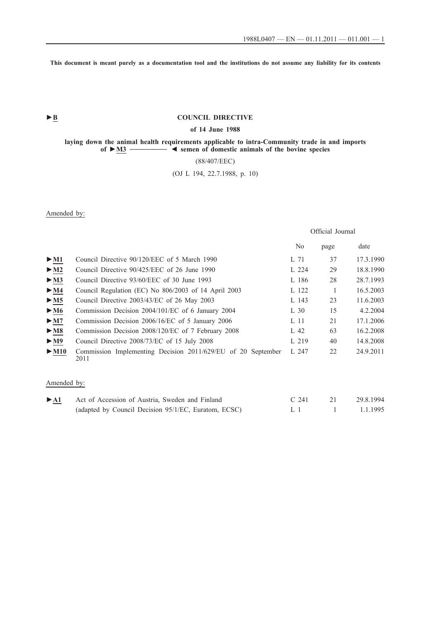**This document is meant purely as a documentation tool and the institutions do not assume any liability for its contents**

# ► **B** COUNCIL DIRECTIVE

### **of 14 June 1988**

**laying down the animal health requirements applicable to intra-Community trade in and imports of ►M3 \_\_\_\_\_\_\_\_\_\_ ◄ semen of domestic animals of the bovine species**

### (88/407/EEC)

# (OJ L 194, 22.7.1988, p. 10)

Amended by:

Official Journal

|                           |                                                                      | N <sub>0</sub>  | page | date      |
|---------------------------|----------------------------------------------------------------------|-----------------|------|-----------|
| $\blacktriangleright$ M1  | Council Directive 90/120/EEC of 5 March 1990                         | L 71            | 37   | 17.3.1990 |
| $\blacktriangleright$ M2  | Council Directive 90/425/EEC of 26 June 1990                         | $L_{224}$       | 29   | 18.8.1990 |
| $\blacktriangleright$ M3  | Council Directive 93/60/EEC of 30 June 1993                          | L 186           | 28   | 28.7.1993 |
| $\blacktriangleright$ M4  | Council Regulation (EC) No 806/2003 of 14 April 2003                 | L 122           |      | 16.5.2003 |
| > M5                      | Council Directive 2003/43/EC of 26 May 2003                          | L 143           | 23   | 11.6.2003 |
| $\blacktriangleright$ M6  | Commission Decision 2004/101/EC of 6 January 2004                    | $L_{30}$        | 15   | 4.2.2004  |
| $\blacktriangleright$ M7  | Commission Decision 2006/16/EC of 5 January 2006                     | L <sub>11</sub> | 21   | 17.1.2006 |
| $\blacktriangleright$ M8  | Commission Decision 2008/120/EC of 7 February 2008                   | L 42            | 63   | 16.2.2008 |
| $\blacktriangleright$ M9  | Council Directive 2008/73/EC of 15 July 2008                         | L 219           | 40   | 14.8.2008 |
| $\blacktriangleright$ M10 | Commission Implementing Decision 2011/629/EU of 20 September<br>2011 | $L_{247}$       | 22   | 24.9.2011 |

### Amended by:

| $\blacktriangleright$ A1 | Act of Accession of Austria, Sweden and Finland      | $C_{241}$ | 29.8.1994 |
|--------------------------|------------------------------------------------------|-----------|-----------|
|                          | (adapted by Council Decision 95/1/EC, Euratom, ECSC) |           | 1.1.1995  |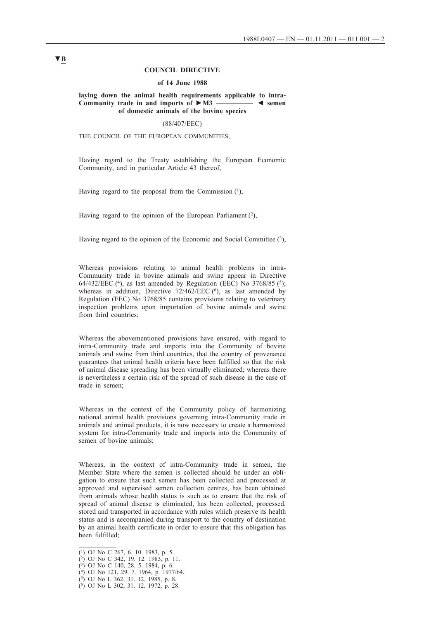#### **COUNCIL DIRECTIVE**

#### **of 14 June 1988**

#### **laying down the animal health requirements applicable to intra-Community trade in and imports of ►M3 \_\_\_\_\_\_\_\_\_\_ ◄ semen of domestic animals of the bovine species**

(88/407/EEC)

THE COUNCIL OF THE EUROPEAN COMMUNITIES,

Having regard to the Treaty establishing the European Economic Community, and in particular Article 43 thereof,

Having regard to the proposal from the Commission  $(1)$ ,

Having regard to the opinion of the European Parliament  $(2)$ ,

Having regard to the opinion of the Economic and Social Committee  $(3)$ ,

Whereas provisions relating to animal health problems in intra-Community trade in bovine animals and swine appear in Directive 64/432/EEC (4), as last amended by Regulation (EEC) No  $3768/85$  (5); whereas in addition, Directive  $72/462/EEC$  ( $6$ ), as last amended by Regulation (EEC) No 3768/85 contains provisions relating to veterinary inspection problems upon importation of bovine animals and swine from third countries;

Whereas the abovementioned provisions have ensured, with regard to intra-Community trade and imports into the Community of bovine animals and swine from third countries, that the country of provenance guarantees that animal health criteria have been fulfilled so that the risk of animal disease spreading has been virtually eliminated; whereas there is nevertheless a certain risk of the spread of such disease in the case of trade in semen;

Whereas in the context of the Community policy of harmonizing national animal health provisions governing intra-Community trade in animals and animal products, it is now necessary to create a harmonized system for intra-Community trade and imports into the Community of semen of bovine animals;

Whereas, in the context of intra-Community trade in semen, the Member State where the semen is collected should be under an obligation to ensure that such semen has been collected and processed at approved and supervised semen collection centres, has been obtained from animals whose health status is such as to ensure that the risk of spread of animal disease is eliminated, has been collected, processed, stored and transported in accordance with rules which preserve its health status and is accompanied during transport to the country of destination by an animal health certificate in order to ensure that this obligation has been fulfilled;

 $\overline{(^1)}$  OJ No C 267, 6. 10. 1983, p. 5.

 $(2)$  OJ No C 342, 19. 12. 1983, p. 11.

<sup>(3)</sup> OJ No C 140, 28. 5. 1984, p. 6.

<sup>(4)</sup> OJ No 121, 29. 7. 1964, p. 1977/64.

<sup>(5)</sup> OJ No L 362, 31. 12. 1985, p. 8.

<sup>(6)</sup> OJ No L 302, 31. 12. 1972, p. 28.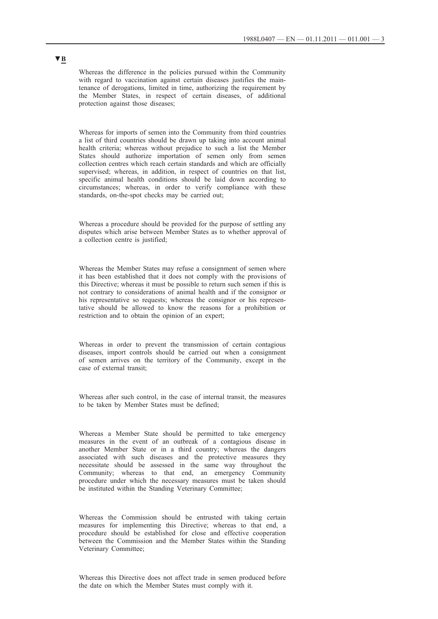Whereas the difference in the policies pursued within the Community with regard to vaccination against certain diseases justifies the maintenance of derogations, limited in time, authorizing the requirement by the Member States, in respect of certain diseases, of additional protection against those diseases;

Whereas for imports of semen into the Community from third countries a list of third countries should be drawn up taking into account animal health criteria; whereas without prejudice to such a list the Member States should authorize importation of semen only from semen collection centres which reach certain standards and which are officially supervised; whereas, in addition, in respect of countries on that list, specific animal health conditions should be laid down according to circumstances; whereas, in order to verify compliance with these standards, on-the-spot checks may be carried out;

Whereas a procedure should be provided for the purpose of settling any disputes which arise between Member States as to whether approval of a collection centre is justified;

Whereas the Member States may refuse a consignment of semen where it has been established that it does not comply with the provisions of this Directive; whereas it must be possible to return such semen if this is not contrary to considerations of animal health and if the consignor or his representative so requests; whereas the consignor or his representative should be allowed to know the reasons for a prohibition or restriction and to obtain the opinion of an expert;

Whereas in order to prevent the transmission of certain contagious diseases, import controls should be carried out when a consignment of semen arrives on the territory of the Community, except in the case of external transit;

Whereas after such control, in the case of internal transit, the measures to be taken by Member States must be defined;

Whereas a Member State should be permitted to take emergency measures in the event of an outbreak of a contagious disease in another Member State or in a third country; whereas the dangers associated with such diseases and the protective measures they necessitate should be assessed in the same way throughout the Community; whereas to that end, an emergency Community procedure under which the necessary measures must be taken should be instituted within the Standing Veterinary Committee;

Whereas the Commission should be entrusted with taking certain measures for implementing this Directive; whereas to that end, a procedure should be established for close and effective cooperation between the Commission and the Member States within the Standing Veterinary Committee;

Whereas this Directive does not affect trade in semen produced before the date on which the Member States must comply with it.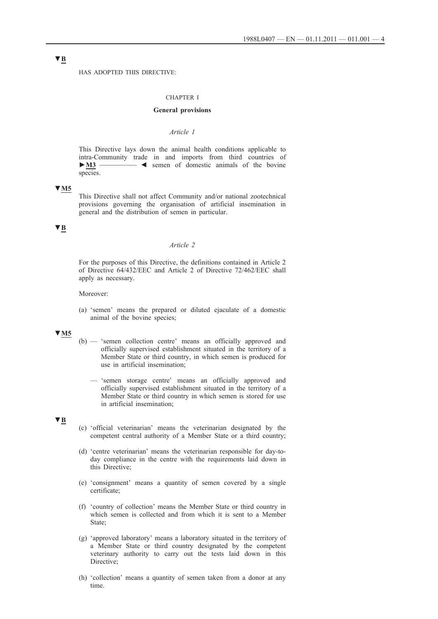HAS ADOPTED THIS DIRECTIVE:

#### CHAPTER I

### **General provisions**

## *Article 1*

This Directive lays down the animal health conditions applicable to intra-Community trade in and imports from third countries of **►M3** \_\_\_\_\_\_\_\_\_\_ ◄ semen of domestic animals of the bovine species.

### **▼M5**

This Directive shall not affect Community and/or national zootechnical provisions governing the organisation of artificial insemination in general and the distribution of semen in particular.

### **▼B**

### *Article 2*

For the purposes of this Directive, the definitions contained in Article 2 of Directive 64/432/EEC and Article 2 of Directive 72/462/EEC shall apply as necessary.

Moreover:

(a) 'semen' means the prepared or diluted ejaculate of a domestic animal of the bovine species;

### **▼M5**

- (b) 'semen collection centre' means an officially approved and officially supervised establishment situated in the territory of a Member State or third country, in which semen is produced for use in artificial insemination;
	- 'semen storage centre' means an officially approved and officially supervised establishment situated in the territory of a Member State or third country in which semen is stored for use in artificial insemination;

#### **▼B**

- (c) 'official veterinarian' means the veterinarian designated by the competent central authority of a Member State or a third country;
- (d) 'centre veterinarian' means the veterinarian responsible for day-today compliance in the centre with the requirements laid down in this Directive;
- (e) 'consignment' means a quantity of semen covered by a single certificate;
- (f) 'country of collection' means the Member State or third country in which semen is collected and from which it is sent to a Member State;
- (g) 'approved laboratory' means a laboratory situated in the territory of a Member State or third country designated by the competent veterinary authority to carry out the tests laid down in this Directive<sup>:</sup>
- (h) 'collection' means a quantity of semen taken from a donor at any time.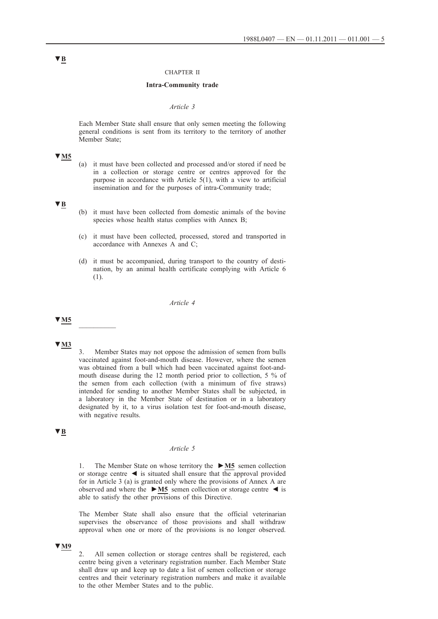#### CHAPTER II

### **Intra-Community trade**

#### *Article 3*

Each Member State shall ensure that only semen meeting the following general conditions is sent from its territory to the territory of another Member State;

## **▼M5**

(a) it must have been collected and processed and/or stored if need be in a collection or storage centre or centres approved for the purpose in accordance with Article 5(1), with a view to artificial insemination and for the purposes of intra-Community trade;

# **▼B**

- (b) it must have been collected from domestic animals of the bovine species whose health status complies with Annex B;
- (c) it must have been collected, processed, stored and transported in accordance with Annexes A and C;
- (d) it must be accompanied, during transport to the country of destination, by an animal health certificate complying with Article 6 (1).

### *Article 4*

# **▼M5** \_\_\_\_\_\_\_\_\_\_

### **▼M3**

3. Member States may not oppose the admission of semen from bulls vaccinated against foot-and-mouth disease. However, where the semen was obtained from a bull which had been vaccinated against foot-andmouth disease during the 12 month period prior to collection, 5 % of the semen from each collection (with a minimum of five straws) intended for sending to another Member States shall be subjected, in a laboratory in the Member State of destination or in a laboratory designated by it, to a virus isolation test for foot-and-mouth disease, with negative results.

## **▼B**

### *Article 5*

1. The Member State on whose territory the **►M5** semen collection or storage centre  $\blacktriangleleft$  is situated shall ensure that the approval provided for in Article 3 (a) is granted only where the provisions of Annex A are observed and where the **►M5** semen collection or storage centre ◄ is able to satisfy the other provisions of this Directive.

The Member State shall also ensure that the official veterinarian supervises the observance of those provisions and shall withdraw approval when one or more of the provisions is no longer observed.

### **▼M9**

2. All semen collection or storage centres shall be registered, each centre being given a veterinary registration number. Each Member State shall draw up and keep up to date a list of semen collection or storage centres and their veterinary registration numbers and make it available to the other Member States and to the public.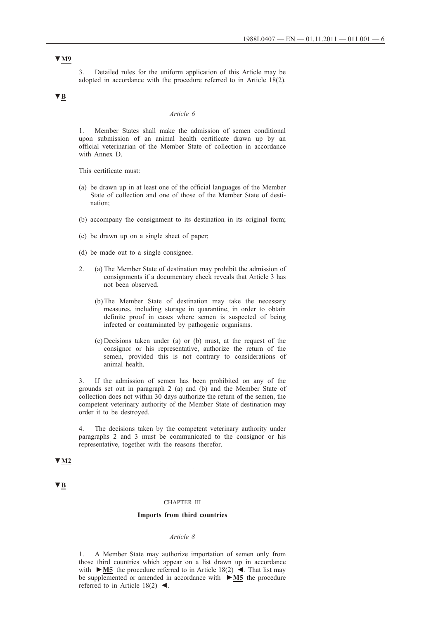3. Detailed rules for the uniform application of this Article may be adopted in accordance with the procedure referred to in Article 18(2).

# **▼B**

#### *Article 6*

1. Member States shall make the admission of semen conditional upon submission of an animal health certificate drawn up by an official veterinarian of the Member State of collection in accordance with Annex D.

This certificate must:

- (a) be drawn up in at least one of the official languages of the Member State of collection and one of those of the Member State of destination;
- (b) accompany the consignment to its destination in its original form;
- (c) be drawn up on a single sheet of paper;
- (d) be made out to a single consignee.
- 2. (a) The Member State of destination may prohibit the admission of consignments if a documentary check reveals that Article 3 has not been observed.
	- (b) The Member State of destination may take the necessary measures, including storage in quarantine, in order to obtain definite proof in cases where semen is suspected of being infected or contaminated by pathogenic organisms.
	- (c) Decisions taken under (a) or (b) must, at the request of the consignor or his representative, authorize the return of the semen, provided this is not contrary to considerations of animal health.

3. If the admission of semen has been prohibited on any of the grounds set out in paragraph 2 (a) and (b) and the Member State of collection does not within 30 days authorize the return of the semen, the competent veterinary authority of the Member State of destination may order it to be destroyed.

4. The decisions taken by the competent veterinary authority under paragraphs 2 and 3 must be communicated to the consignor or his representative, together with the reasons therefor.

# **▼M2** \_\_\_\_\_\_\_\_\_\_

**▼B**

### CHAPTER III

#### **Imports from third countries**

### *Article 8*

1. A Member State may authorize importation of semen only from those third countries which appear on a list drawn up in accordance with **►M5** the procedure referred to in Article 18(2) ◄. That list may be supplemented or amended in accordance with **►M5** the procedure referred to in Article 18(2)  $\blacktriangleleft$ .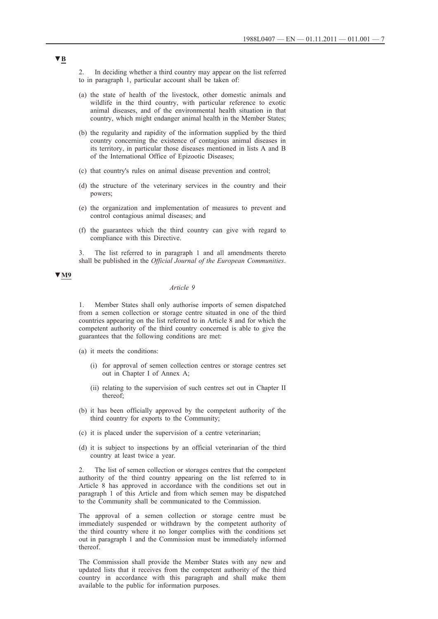2. In deciding whether a third country may appear on the list referred to in paragraph 1, particular account shall be taken of:

- (a) the state of health of the livestock, other domestic animals and wildlife in the third country, with particular reference to exotic animal diseases, and of the environmental health situation in that country, which might endanger animal health in the Member States;
- (b) the regularity and rapidity of the information supplied by the third country concerning the existence of contagious animal diseases in its territory, in particular those diseases mentioned in lists A and B of the International Office of Epizootic Diseases;
- (c) that country's rules on animal disease prevention and control;
- (d) the structure of the veterinary services in the country and their powers;
- (e) the organization and implementation of measures to prevent and control contagious animal diseases; and
- (f) the guarantees which the third country can give with regard to compliance with this Directive.

3. The list referred to in paragraph 1 and all amendments thereto shall be published in the *Official Journal of the European Communities*.

# **▼M9**

### *Article 9*

1. Member States shall only authorise imports of semen dispatched from a semen collection or storage centre situated in one of the third countries appearing on the list referred to in Article 8 and for which the competent authority of the third country concerned is able to give the guarantees that the following conditions are met:

- (a) it meets the conditions:
	- (i) for approval of semen collection centres or storage centres set out in Chapter I of Annex A;
	- (ii) relating to the supervision of such centres set out in Chapter II thereof;
- (b) it has been officially approved by the competent authority of the third country for exports to the Community;
- (c) it is placed under the supervision of a centre veterinarian;
- (d) it is subject to inspections by an official veterinarian of the third country at least twice a year.

2. The list of semen collection or storages centres that the competent authority of the third country appearing on the list referred to in Article 8 has approved in accordance with the conditions set out in paragraph 1 of this Article and from which semen may be dispatched to the Community shall be communicated to the Commission.

The approval of a semen collection or storage centre must be immediately suspended or withdrawn by the competent authority of the third country where it no longer complies with the conditions set out in paragraph 1 and the Commission must be immediately informed thereof.

The Commission shall provide the Member States with any new and updated lists that it receives from the competent authority of the third country in accordance with this paragraph and shall make them available to the public for information purposes.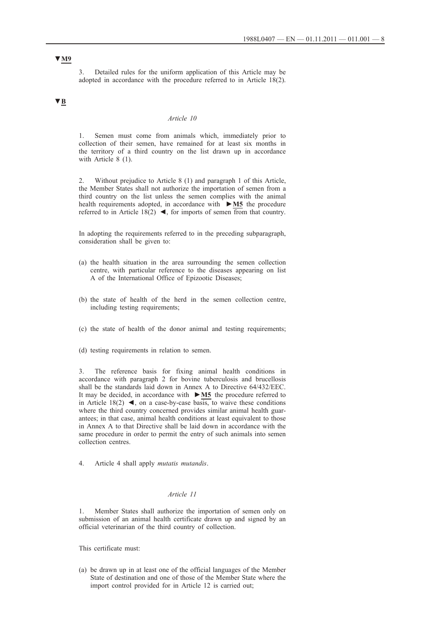3. Detailed rules for the uniform application of this Article may be adopted in accordance with the procedure referred to in Article 18(2).

# **▼B**

### *Article 10*

1. Semen must come from animals which, immediately prior to collection of their semen, have remained for at least six months in the territory of a third country on the list drawn up in accordance with Article 8 (1).

2. Without prejudice to Article 8 (1) and paragraph 1 of this Article, the Member States shall not authorize the importation of semen from a third country on the list unless the semen complies with the animal health requirements adopted, in accordance with **►M5** the procedure referred to in Article 18(2)  $\blacktriangleleft$ , for imports of semen from that country.

In adopting the requirements referred to in the preceding subparagraph, consideration shall be given to:

- (a) the health situation in the area surrounding the semen collection centre, with particular reference to the diseases appearing on list A of the International Office of Epizootic Diseases;
- (b) the state of health of the herd in the semen collection centre, including testing requirements;
- (c) the state of health of the donor animal and testing requirements;
- (d) testing requirements in relation to semen.

3. The reference basis for fixing animal health conditions in accordance with paragraph 2 for bovine tuberculosis and brucellosis shall be the standards laid down in Annex A to Directive 64/432/EEC. It may be decided, in accordance with **►M5** the procedure referred to in Article 18(2)  $\blacktriangleleft$ , on a case-by-case basis, to waive these conditions where the third country concerned provides similar animal health guarantees; in that case, animal health conditions at least equivalent to those in Annex A to that Directive shall be laid down in accordance with the same procedure in order to permit the entry of such animals into semen collection centres.

4. Article 4 shall apply *mutatis mutandis*.

### *Article 11*

1. Member States shall authorize the importation of semen only on submission of an animal health certificate drawn up and signed by an official veterinarian of the third country of collection.

This certificate must:

(a) be drawn up in at least one of the official languages of the Member State of destination and one of those of the Member State where the import control provided for in Article 12 is carried out;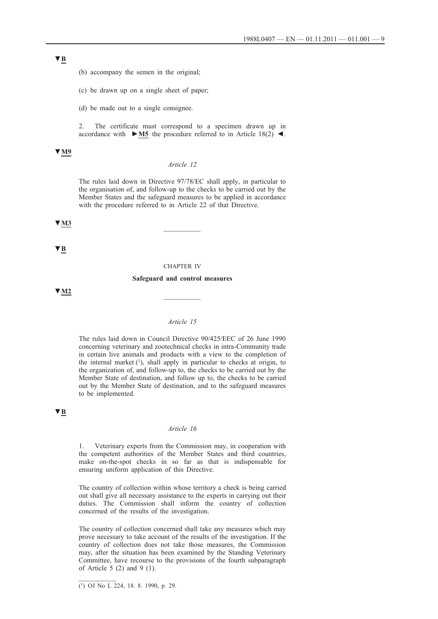(b) accompany the semen in the original;

(c) be drawn up on a single sheet of paper;

(d) be made out to a single consignee.

2. The certificate must correspond to a specimen drawn up in accordance with  $\triangleright$  **M5** the procedure referred to in Article 18(2)  $\blacktriangleleft$ .

#### **▼M9**

### *Article 12*

The rules laid down in Directive 97/78/EC shall apply, in particular to the organisation of, and follow-up to the checks to be carried out by the Member States and the safeguard measures to be applied in accordance with the procedure referred to in Article 22 of that Directive.

# **▼M3** \_\_\_\_\_\_\_\_\_\_

**▼B**

#### CHAPTER IV

#### **Safeguard and control measures**

**▼M2** \_\_\_\_\_\_\_\_\_\_

### *Article 15*

The rules laid down in Council Directive 90/425/EEC of 26 June 1990 concerning veterinary and zootechnical checks in intra-Community trade in certain live animals and products with a view to the completion of the internal market  $(1)$ , shall apply in particular to checks at origin, to the organization of, and follow-up to, the checks to be carried out by the Member State of destination, and follow up to, the checks to be carried out by the Member State of destination, and to the safeguard measures to be implemented.

#### **▼B**

#### *Article 16*

1. Veterinary experts from the Commission may, in cooperation with the competent authorities of the Member States and third countries, make on-the-spot checks in so far as that is indispensable for ensuring uniform application of this Directive.

The country of collection within whose territory a check is being carried out shall give all necessary assistance to the experts in carrying out their duties. The Commission shall inform the country of collection concerned of the results of the investigation.

The country of collection concerned shall take any measures which may prove necessary to take account of the results of the investigation. If the country of collection does not take those measures, the Commission may, after the situation has been examined by the Standing Veterinary Committee, have recourse to the provisions of the fourth subparagraph of Article  $5(2)$  and  $9(1)$ .

<sup>(1)</sup> OJ No L 224, 18. 8. 1990, p. 29.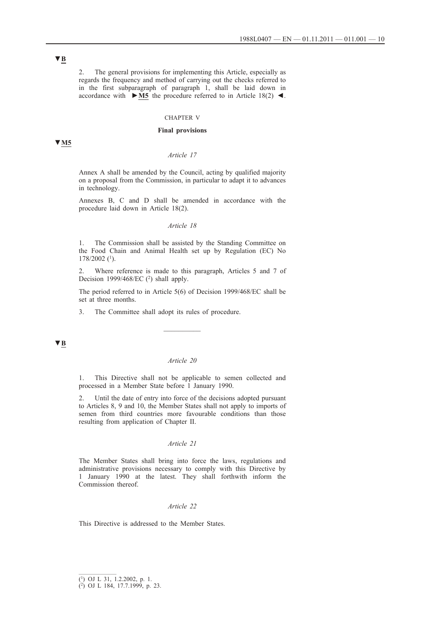2. The general provisions for implementing this Article, especially as regards the frequency and method of carrying out the checks referred to in the first subparagraph of paragraph 1, shall be laid down in accordance with **►M5** the procedure referred to in Article 18(2) ◄.

### CHAPTER V

#### **Final provisions**

### **▼M5**

### *Article 17*

Annex A shall be amended by the Council, acting by qualified majority on a proposal from the Commission, in particular to adapt it to advances in technology.

Annexes B, C and D shall be amended in accordance with the procedure laid down in Article 18(2).

#### *Article 18*

1. The Commission shall be assisted by the Standing Committee on the Food Chain and Animal Health set up by Regulation (EC) No 178/2002 (1).

2. Where reference is made to this paragraph, Articles 5 and 7 of Decision 1999/468/EC  $(2)$  shall apply.

The period referred to in Article 5(6) of Decision 1999/468/EC shall be set at three months.

 $\frac{1}{2}$ 

3. The Committee shall adopt its rules of procedure.

**▼B**

#### *Article 20*

1. This Directive shall not be applicable to semen collected and processed in a Member State before 1 January 1990.

2. Until the date of entry into force of the decisions adopted pursuant to Articles 8, 9 and 10, the Member States shall not apply to imports of semen from third countries more favourable conditions than those resulting from application of Chapter II.

#### *Article 21*

The Member States shall bring into force the laws, regulations and administrative provisions necessary to comply with this Directive by 1 January 1990 at the latest. They shall forthwith inform the Commission thereof.

### *Article 22*

This Directive is addressed to the Member States.

<sup>(1)</sup> OJ L 31, 1.2.2002, p. 1.

<sup>(2)</sup> OJ L 184, 17.7.1999, p. 23.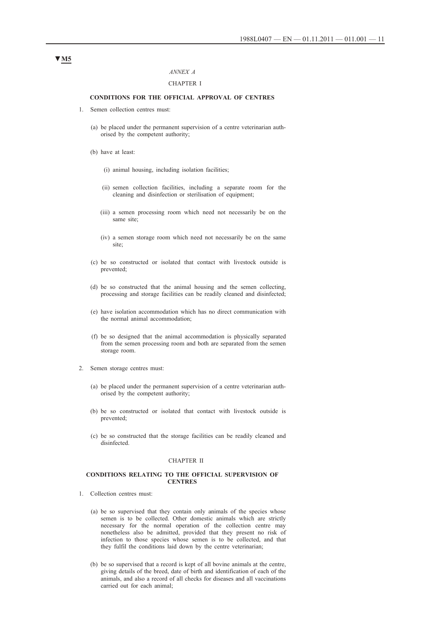#### *ANNEX A*

### CHAPTER I

#### **CONDITIONS FOR THE OFFICIAL APPROVAL OF CENTRES**

- 1. Semen collection centres must:
	- (a) be placed under the permanent supervision of a centre veterinarian authorised by the competent authority;
	- (b) have at least:
		- (i) animal housing, including isolation facilities;
		- (ii) semen collection facilities, including a separate room for the cleaning and disinfection or sterilisation of equipment;
		- (iii) a semen processing room which need not necessarily be on the same site;
		- (iv) a semen storage room which need not necessarily be on the same site;
	- (c) be so constructed or isolated that contact with livestock outside is prevented;
	- (d) be so constructed that the animal housing and the semen collecting, processing and storage facilities can be readily cleaned and disinfected;
	- (e) have isolation accommodation which has no direct communication with the normal animal accommodation;
	- (f) be so designed that the animal accommodation is physically separated from the semen processing room and both are separated from the semen storage room.
- 2. Semen storage centres must:
	- (a) be placed under the permanent supervision of a centre veterinarian authorised by the competent authority;
	- (b) be so constructed or isolated that contact with livestock outside is prevented;
	- (c) be so constructed that the storage facilities can be readily cleaned and disinfected.

#### CHAPTER II

#### **CONDITIONS RELATING TO THE OFFICIAL SUPERVISION OF CENTRES**

- 1. Collection centres must:
	- (a) be so supervised that they contain only animals of the species whose semen is to be collected. Other domestic animals which are strictly necessary for the normal operation of the collection centre may nonetheless also be admitted, provided that they present no risk of infection to those species whose semen is to be collected, and that they fulfil the conditions laid down by the centre veterinarian;
	- (b) be so supervised that a record is kept of all bovine animals at the centre, giving details of the breed, date of birth and identification of each of the animals, and also a record of all checks for diseases and all vaccinations carried out for each animal;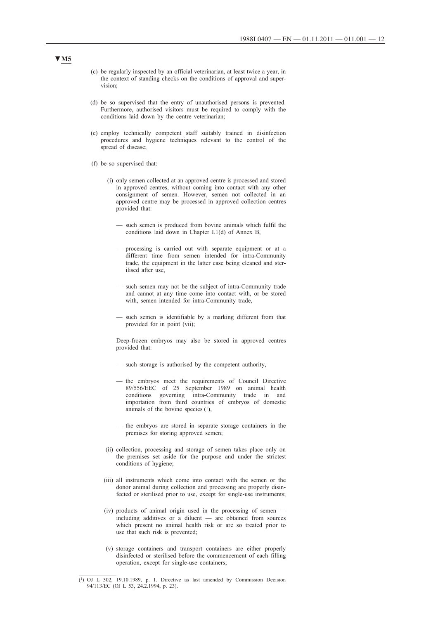- (c) be regularly inspected by an official veterinarian, at least twice a year, in the context of standing checks on the conditions of approval and supervision;
- (d) be so supervised that the entry of unauthorised persons is prevented. Furthermore, authorised visitors must be required to comply with the conditions laid down by the centre veterinarian;
- (e) employ technically competent staff suitably trained in disinfection procedures and hygiene techniques relevant to the control of the spread of disease;
- (f) be so supervised that:
	- (i) only semen collected at an approved centre is processed and stored in approved centres, without coming into contact with any other consignment of semen. However, semen not collected in an approved centre may be processed in approved collection centres provided that:
		- such semen is produced from bovine animals which fulfil the conditions laid down in Chapter I.1(d) of Annex B,
		- processing is carried out with separate equipment or at a different time from semen intended for intra-Community trade, the equipment in the latter case being cleaned and sterilised after use,
		- such semen may not be the subject of intra-Community trade and cannot at any time come into contact with, or be stored with, semen intended for intra-Community trade,
		- such semen is identifiable by a marking different from that provided for in point (vii);

Deep-frozen embryos may also be stored in approved centres provided that:

- such storage is authorised by the competent authority,
- the embryos meet the requirements of Council Directive 89/556/EEC of 25 September 1989 on animal health governing intra-Community trade in and importation from third countries of embryos of domestic animals of the bovine species  $(1)$ ,
- the embryos are stored in separate storage containers in the premises for storing approved semen;
- (ii) collection, processing and storage of semen takes place only on the premises set aside for the purpose and under the strictest conditions of hygiene;
- (iii) all instruments which come into contact with the semen or the donor animal during collection and processing are properly disinfected or sterilised prior to use, except for single-use instruments;
- (iv) products of animal origin used in the processing of semen including additives or a diluent — are obtained from sources which present no animal health risk or are so treated prior to use that such risk is prevented;
- (v) storage containers and transport containers are either properly disinfected or sterilised before the commencement of each filling operation, except for single-use containers;

<sup>(1)</sup> OJ L 302, 19.10.1989, p. 1. Directive as last amended by Commission Decision 94/113/EC (OJ L 53, 24.2.1994, p. 23).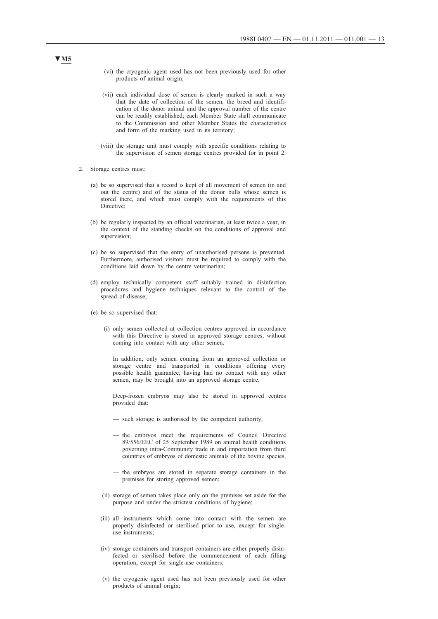- (vi) the cryogenic agent used has not been previously used for other products of animal origin;
- (vii) each individual dose of semen is clearly marked in such a way that the date of collection of the semen, the breed and identification of the donor animal and the approval number of the centre can be readily established; each Member State shall communicate to the Commission and other Member States the characteristics and form of the marking used in its territory;
- (viii) the storage unit must comply with specific conditions relating to the supervision of semen storage centres provided for in point 2.
- 2. Storage centres must:
	- (a) be so supervised that a record is kept of all movement of semen (in and out the centre) and of the status of the donor bulls whose semen is stored there, and which must comply with the requirements of this Directive;
	- (b) be regularly inspected by an official veterinarian, at least twice a year, in the context of the standing checks on the conditions of approval and supervision;
	- (c) be so supervised that the entry of unauthorised persons is prevented. Furthermore, authorised visitors must be required to comply with the conditions laid down by the centre veterinarian;
	- (d) employ technically competent staff suitably trained in disinfection procedures and hygiene techniques relevant to the control of the spread of disease;
	- (e) be so supervised that:
		- (i) only semen collected at collection centres approved in accordance with this Directive is stored in approved storage centres, without coming into contact with any other semen.

In addition, only semen coming from an approved collection or storage centre and transported in conditions offering every possible health guarantee, having had no contact with any other semen, may be brought into an approved storage centre.

Deep-frozen embryos may also be stored in approved centres provided that:

- such storage is authorised by the competent authority,
- the embryos meet the requirements of Council Directive 89/556/EEC of 25 September 1989 on animal health conditions governing intra-Community trade in and importation from third countries of embryos of domestic animals of the bovine species,
- the embryos are stored in separate storage containers in the premises for storing approved semen;
- (ii) storage of semen takes place only on the premises set aside for the purpose and under the strictest conditions of hygiene;
- (iii) all instruments which come into contact with the semen are properly disinfected or sterilised prior to use, except for singleuse instruments;
- (iv) storage containers and transport containers are either properly disinfected or sterilised before the commencement of each filling operation, except for single-use containers;
- (v) the cryogenic agent used has not been previously used for other products of animal origin;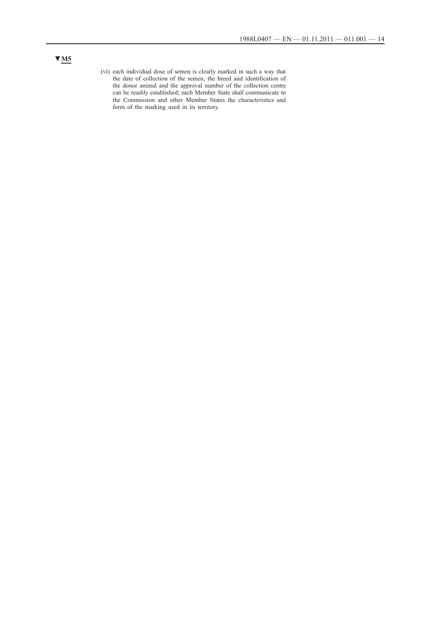(vi) each individual dose of semen is clearly marked in such a way that the date of collection of the semen, the breed and identification of the donor animal and the approval number of the collection centre can be readily established; each Member State shall communicate to the Commission and other Member States the characteristics and form of the marking used in its territory.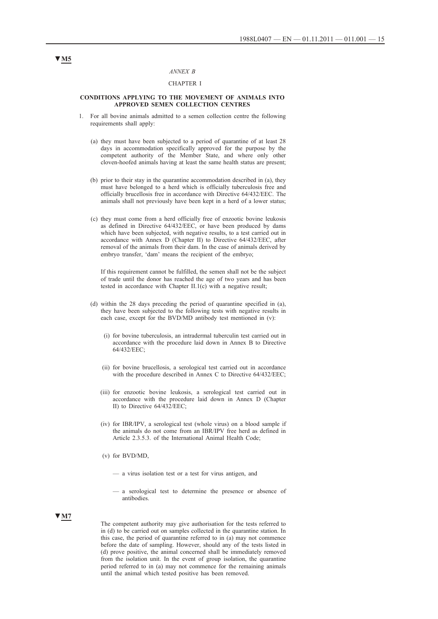### *ANNEX B*

### CHAPTER I

#### **CONDITIONS APPLYING TO THE MOVEMENT OF ANIMALS INTO APPROVED SEMEN COLLECTION CENTRES**

- 1. For all bovine animals admitted to a semen collection centre the following requirements shall apply:
	- (a) they must have been subjected to a period of quarantine of at least 28 days in accommodation specifically approved for the purpose by the competent authority of the Member State, and where only other cloven-hoofed animals having at least the same health status are present;
	- (b) prior to their stay in the quarantine accommodation described in (a), they must have belonged to a herd which is officially tuberculosis free and officially brucellosis free in accordance with Directive 64/432/EEC. The animals shall not previously have been kept in a herd of a lower status;
	- (c) they must come from a herd officially free of enzootic bovine leukosis as defined in Directive 64/432/EEC, or have been produced by dams which have been subjected, with negative results, to a test carried out in accordance with Annex D (Chapter II) to Directive 64/432/EEC, after removal of the animals from their dam. In the case of animals derived by embryo transfer, 'dam' means the recipient of the embryo;

If this requirement cannot be fulfilled, the semen shall not be the subject of trade until the donor has reached the age of two years and has been tested in accordance with Chapter II.1(c) with a negative result;

- (d) within the 28 days preceding the period of quarantine specified in (a), they have been subjected to the following tests with negative results in each case, except for the BVD/MD antibody test mentioned in (v):
	- (i) for bovine tuberculosis, an intradermal tuberculin test carried out in accordance with the procedure laid down in Annex B to Directive 64/432/EEC;
	- (ii) for bovine brucellosis, a serological test carried out in accordance with the procedure described in Annex C to Directive 64/432/EEC;
	- (iii) for enzootic bovine leukosis, a serological test carried out in accordance with the procedure laid down in Annex D (Chapter II) to Directive 64/432/EEC;
	- (iv) for IBR/IPV, a serological test (whole virus) on a blood sample if the animals do not come from an IBR/IPV free herd as defined in Article 2.3.5.3. of the International Animal Health Code;
	- (v) for BVD/MD,
		- a virus isolation test or a test for virus antigen, and
		- a serological test to determine the presence or absence of antibodies.

### **▼M7**

The competent authority may give authorisation for the tests referred to in (d) to be carried out on samples collected in the quarantine station. In this case, the period of quarantine referred to in (a) may not commence before the date of sampling. However, should any of the tests listed in (d) prove positive, the animal concerned shall be immediately removed from the isolation unit. In the event of group isolation, the quarantine period referred to in (a) may not commence for the remaining animals until the animal which tested positive has been removed.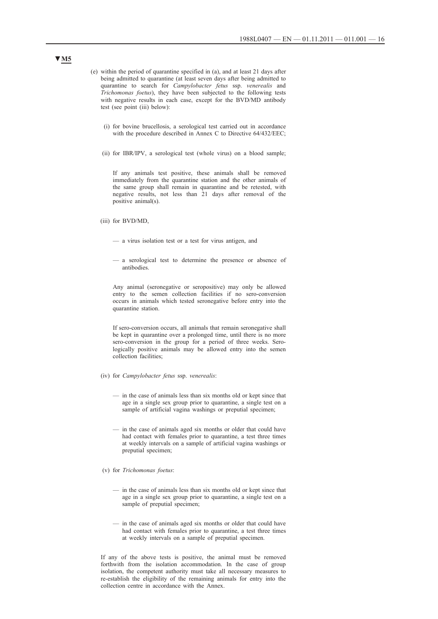- (e) within the period of quarantine specified in (a), and at least 21 days after being admitted to quarantine (at least seven days after being admitted to quarantine to search for *Campylobacter fetus* ssp. *venerealis* and *Trichomonas foetus*), they have been subjected to the following tests with negative results in each case, except for the BVD/MD antibody test (see point (iii) below):
	- (i) for bovine brucellosis, a serological test carried out in accordance with the procedure described in Annex C to Directive 64/432/EEC;
	- (ii) for IBR/IPV, a serological test (whole virus) on a blood sample;

If any animals test positive, these animals shall be removed immediately from the quarantine station and the other animals of the same group shall remain in quarantine and be retested, with negative results, not less than 21 days after removal of the positive animal(s).

- (iii) for BVD/MD,
	- a virus isolation test or a test for virus antigen, and
	- a serological test to determine the presence or absence of antibodies.

Any animal (seronegative or seropositive) may only be allowed entry to the semen collection facilities if no sero-conversion occurs in animals which tested seronegative before entry into the quarantine station.

If sero-conversion occurs, all animals that remain seronegative shall be kept in quarantine over a prolonged time, until there is no more sero-conversion in the group for a period of three weeks. Serologically positive animals may be allowed entry into the semen collection facilities;

- (iv) for *Campylobacter fetus* ssp. *venerealis*:
	- in the case of animals less than six months old or kept since that age in a single sex group prior to quarantine, a single test on a sample of artificial vagina washings or preputial specimen;
	- in the case of animals aged six months or older that could have had contact with females prior to quarantine, a test three times at weekly intervals on a sample of artificial vagina washings or preputial specimen;
- (v) for *Trichomonas foetus*:
	- in the case of animals less than six months old or kept since that age in a single sex group prior to quarantine, a single test on a sample of preputial specimen;
	- in the case of animals aged six months or older that could have had contact with females prior to quarantine, a test three times at weekly intervals on a sample of preputial specimen.

If any of the above tests is positive, the animal must be removed forthwith from the isolation accommodation. In the case of group isolation, the competent authority must take all necessary measures to re-establish the eligibility of the remaining animals for entry into the collection centre in accordance with the Annex.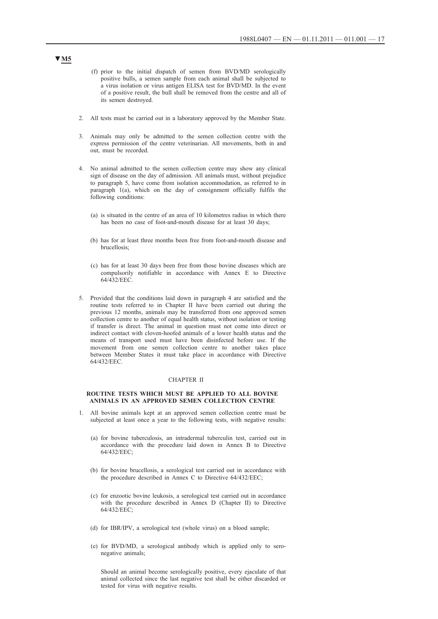- (f) prior to the initial dispatch of semen from BVD/MD serologically positive bulls, a semen sample from each animal shall be subjected to a virus isolation or virus antigen ELISA test for BVD/MD. In the event of a positive result, the bull shall be removed from the centre and all of its semen destroyed.
- 2. All tests must be carried out in a laboratory approved by the Member State.
- 3. Animals may only be admitted to the semen collection centre with the express permission of the centre veterinarian. All movements, both in and out, must be recorded.
- 4. No animal admitted to the semen collection centre may show any clinical sign of disease on the day of admission. All animals must, without prejudice to paragraph 5, have come from isolation accommodation, as referred to in paragraph 1(a), which on the day of consignment officially fulfils the following conditions:
	- (a) is situated in the centre of an area of 10 kilometres radius in which there has been no case of foot-and-mouth disease for at least 30 days;
	- (b) has for at least three months been free from foot-and-mouth disease and brucellosis;
	- (c) has for at least 30 days been free from those bovine diseases which are compulsorily notifiable in accordance with Annex E to Directive 64/432/EEC.
- 5. Provided that the conditions laid down in paragraph 4 are satisfied and the routine tests referred to in Chapter II have been carried out during the previous 12 months, animals may be transferred from one approved semen collection centre to another of equal health status, without isolation or testing if transfer is direct. The animal in question must not come into direct or indirect contact with cloven-hoofed animals of a lower health status and the means of transport used must have been disinfected before use. If the movement from one semen collection centre to another takes place between Member States it must take place in accordance with Directive 64/432/EEC.

#### CHAPTER II

#### **ROUTINE TESTS WHICH MUST BE APPLIED TO ALL BOVINE ANIMALS IN AN APPROVED SEMEN COLLECTION CENTRE**

- 1. All bovine animals kept at an approved semen collection centre must be subjected at least once a year to the following tests, with negative results:
	- (a) for bovine tuberculosis, an intradermal tuberculin test, carried out in accordance with the procedure laid down in Annex B to Directive 64/432/EEC;
	- (b) for bovine brucellosis, a serological test carried out in accordance with the procedure described in Annex C to Directive 64/432/EEC;
	- (c) for enzootic bovine leukosis, a serological test carried out in accordance with the procedure described in Annex D (Chapter II) to Directive 64/432/EEC;
	- (d) for IBR/IPV, a serological test (whole virus) on a blood sample;
	- (e) for BVD/MD, a serological antibody which is applied only to seronegative animals;

Should an animal become serologically positive, every ejaculate of that animal collected since the last negative test shall be either discarded or tested for virus with negative results.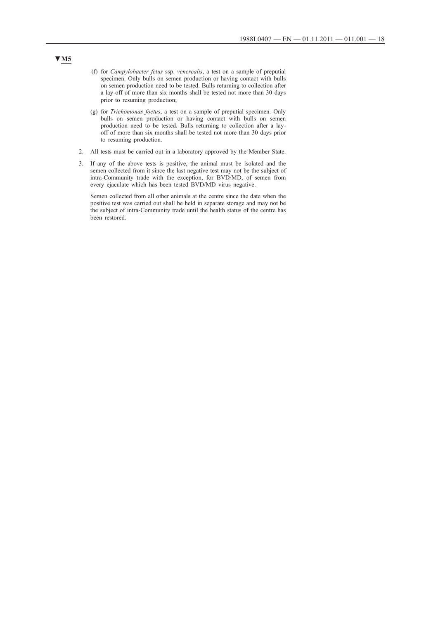- (f) for *Campylobacter fetus* ssp. *venerealis*, a test on a sample of preputial specimen. Only bulls on semen production or having contact with bulls on semen production need to be tested. Bulls returning to collection after a lay-off of more than six months shall be tested not more than 30 days prior to resuming production;
- (g) for *Trichomonas foetus*, a test on a sample of preputial specimen. Only bulls on semen production or having contact with bulls on semen production need to be tested. Bulls returning to collection after a layoff of more than six months shall be tested not more than 30 days prior to resuming production.
- 2. All tests must be carried out in a laboratory approved by the Member State.
- 3. If any of the above tests is positive, the animal must be isolated and the semen collected from it since the last negative test may not be the subject of intra-Community trade with the exception, for BVD/MD, of semen from every ejaculate which has been tested BVD/MD virus negative.

Semen collected from all other animals at the centre since the date when the positive test was carried out shall be held in separate storage and may not be the subject of intra-Community trade until the health status of the centre has been restored.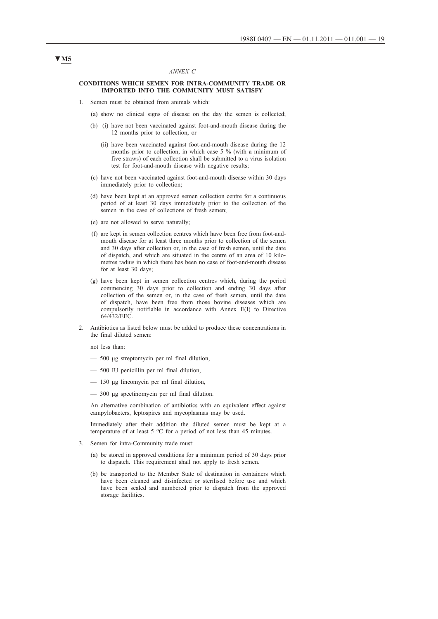#### *ANNEX C*

#### **CONDITIONS WHICH SEMEN FOR INTRA-COMMUNITY TRADE OR IMPORTED INTO THE COMMUNITY MUST SATISFY**

- 1. Semen must be obtained from animals which:
	- (a) show no clinical signs of disease on the day the semen is collected;
	- (b) (i) have not been vaccinated against foot-and-mouth disease during the 12 months prior to collection, or
		- (ii) have been vaccinated against foot-and-mouth disease during the 12 months prior to collection, in which case 5 % (with a minimum of five straws) of each collection shall be submitted to a virus isolation test for foot-and-mouth disease with negative results;
	- (c) have not been vaccinated against foot-and-mouth disease within 30 days immediately prior to collection;
	- (d) have been kept at an approved semen collection centre for a continuous period of at least 30 days immediately prior to the collection of the semen in the case of collections of fresh semen;
	- (e) are not allowed to serve naturally;
	- (f) are kept in semen collection centres which have been free from foot-andmouth disease for at least three months prior to collection of the semen and 30 days after collection or, in the case of fresh semen, until the date of dispatch, and which are situated in the centre of an area of 10 kilometres radius in which there has been no case of foot-and-mouth disease for at least 30 days;
	- (g) have been kept in semen collection centres which, during the period commencing 30 days prior to collection and ending 30 days after collection of the semen or, in the case of fresh semen, until the date of dispatch, have been free from those bovine diseases which are compulsorily notifiable in accordance with Annex E(I) to Directive 64/432/EEC.
- 2. Antibiotics as listed below must be added to produce these concentrations in the final diluted semen:

not less than:

- 500 μg streptomycin per ml final dilution,
- 500 IU penicillin per ml final dilution,
- 150 μg lincomycin per ml final dilution,
- 300 μg spectinomycin per ml final dilution.

An alternative combination of antibiotics with an equivalent effect against campylobacters, leptospires and mycoplasmas may be used.

Immediately after their addition the diluted semen must be kept at a temperature of at least 5 °C for a period of not less than 45 minutes.

- 3. Semen for intra-Community trade must:
	- (a) be stored in approved conditions for a minimum period of 30 days prior to dispatch. This requirement shall not apply to fresh semen.
	- (b) be transported to the Member State of destination in containers which have been cleaned and disinfected or sterilised before use and which have been sealed and numbered prior to dispatch from the approved storage facilities.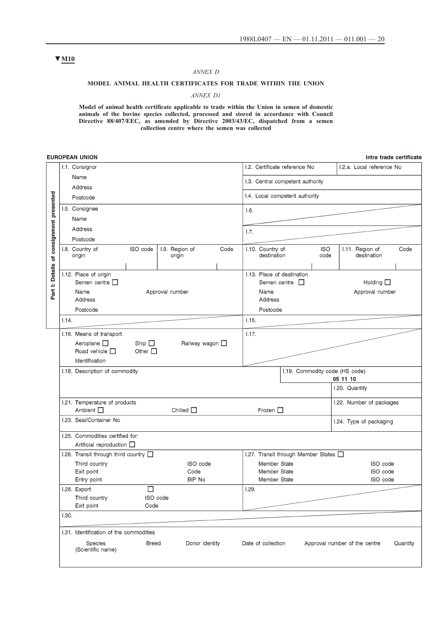#### *ANNEX D*

### **MODEL ANIMAL HEALTH CERTIFICATES FOR TRADE WITHIN THE UNION**

### *ANNEX D1*

**Model of animal health certificate applicable to trade within the Union in semen of domestic**  animals of the bovine species collected, processed and stored in accordance with Council **Directive 88/407/EEC, as amended by Directive 2003/43/EC, dispatched from a semen collection centre where the semen was collected**

### **EUROPEAN UNION**

Intra trade certificate

|                                          | I.1. Consignor                                       |                                                                    |                                |                            |      |       |                                              | I.2. Certificate reference No                     |                    | I.2.a. Local reference No            |          |
|------------------------------------------|------------------------------------------------------|--------------------------------------------------------------------|--------------------------------|----------------------------|------|-------|----------------------------------------------|---------------------------------------------------|--------------------|--------------------------------------|----------|
|                                          | Name                                                 |                                                                    |                                |                            |      |       |                                              | I.3. Central competent authority                  |                    |                                      |          |
|                                          | Address                                              |                                                                    |                                |                            |      |       |                                              |                                                   |                    |                                      |          |
|                                          |                                                      | Postcode<br>I.5. Consignee                                         |                                |                            |      |       |                                              | I.4. Local competent authority                    |                    |                                      |          |
|                                          |                                                      |                                                                    |                                |                            |      |       |                                              |                                                   |                    |                                      |          |
|                                          | Name                                                 |                                                                    |                                |                            |      |       |                                              |                                                   |                    |                                      |          |
|                                          | Address                                              |                                                                    |                                |                            |      | 1.7.  |                                              |                                                   |                    |                                      |          |
|                                          | Postcode                                             |                                                                    |                                |                            |      |       |                                              |                                                   |                    |                                      |          |
|                                          | I.8. Country of<br>origin                            |                                                                    | ISO code                       | I.9. Region of<br>origin   | Code |       | I.10. Country of<br>destination              |                                                   | <b>ISO</b><br>code | 1.11. Region of<br>destination       | Code     |
| Part I: Details of consignment presented | I.12. Place of origin<br>Name<br>Address<br>Postcode | Semen centre $\square$                                             |                                | Approval number            |      |       | Name<br>Address<br>Postcode                  | I.13. Place of destination<br>Semen centre $\Box$ |                    | Holding $\square$<br>Approval number |          |
|                                          | 1.14.                                                |                                                                    |                                |                            |      | 1.15. |                                              |                                                   |                    |                                      |          |
|                                          |                                                      | I.16. Means of transport                                           |                                |                            |      | 1.17. |                                              |                                                   |                    |                                      |          |
|                                          |                                                      | Aeroplane $\square$<br>Road vehicle $\Pi$<br>Identification        | Ship $\square$<br>Other $\Box$ | Railway wagon $\square$    |      |       |                                              |                                                   |                    |                                      |          |
|                                          |                                                      | I.18. Description of commodity                                     |                                |                            |      |       |                                              |                                                   |                    | I.19. Commodity code (HS code)       |          |
|                                          |                                                      |                                                                    |                                |                            |      |       |                                              |                                                   |                    | 05 11 10                             |          |
|                                          |                                                      |                                                                    |                                |                            |      |       |                                              |                                                   |                    | I.20. Quantity                       |          |
|                                          | Ambient $\square$                                    | I.21. Temperature of products                                      |                                | Chilled $\square$          |      |       | Frozen $\square$                             |                                                   |                    | I.22. Number of packages             |          |
|                                          |                                                      | I.23. Seal/Container No                                            |                                |                            |      |       |                                              |                                                   |                    | I.24. Type of packaging              |          |
|                                          |                                                      | I.25. Commodities certified for:<br>Artificial reproduction $\Box$ |                                |                            |      |       |                                              |                                                   |                    |                                      |          |
|                                          |                                                      | 1.26. Transit through third country [                              |                                |                            |      |       |                                              | 1.27. Transit through Member States $\Box$        |                    |                                      |          |
|                                          | Exit point<br>Entry point                            | Third country                                                      |                                | ISO code<br>Code<br>BIP No |      |       | Member State<br>Member State<br>Member State |                                                   |                    | ISO code<br>ISO code<br>ISO code     |          |
|                                          | I.28. Export                                         |                                                                    | $\Box$                         |                            |      | 1.29. |                                              |                                                   |                    |                                      |          |
|                                          | Exit point                                           | Third country                                                      | ISO code<br>Code               |                            |      |       |                                              |                                                   |                    |                                      |          |
|                                          | 1.30.                                                |                                                                    |                                |                            |      |       |                                              |                                                   |                    |                                      |          |
|                                          |                                                      | 1.31. Identification of the commodities                            |                                |                            |      |       |                                              |                                                   |                    |                                      |          |
|                                          |                                                      | Species<br>(Scientific name)                                       | <b>Breed</b>                   | Donor identity             |      |       | Date of collection                           |                                                   |                    | Approval number of the centre        | Quantity |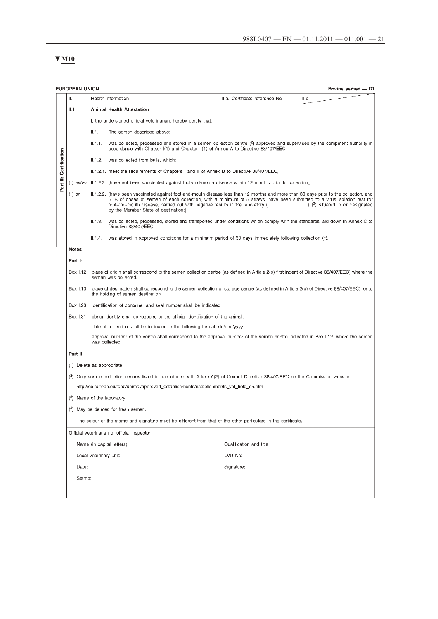# $\Psi$  M<sub>10</sub>

|                                                                                                                                                                                                                                                                                                                       | <b>EUROPEAN UNION</b><br>Bovine semen - D1                                                                                                                                     |                        |                                                                                                                                                                                                                  |                                |       |  |  |
|-----------------------------------------------------------------------------------------------------------------------------------------------------------------------------------------------------------------------------------------------------------------------------------------------------------------------|--------------------------------------------------------------------------------------------------------------------------------------------------------------------------------|------------------------|------------------------------------------------------------------------------------------------------------------------------------------------------------------------------------------------------------------|--------------------------------|-------|--|--|
|                                                                                                                                                                                                                                                                                                                       | Π.                                                                                                                                                                             |                        | Health information                                                                                                                                                                                               | II.a. Certificate reference No | II.b. |  |  |
|                                                                                                                                                                                                                                                                                                                       | II.1                                                                                                                                                                           |                        | Animal Health Attestation                                                                                                                                                                                        |                                |       |  |  |
|                                                                                                                                                                                                                                                                                                                       |                                                                                                                                                                                |                        | I, the undersigned official veterinarian, hereby certify that:                                                                                                                                                   |                                |       |  |  |
|                                                                                                                                                                                                                                                                                                                       |                                                                                                                                                                                | II.1.                  | The semen described above:                                                                                                                                                                                       |                                |       |  |  |
|                                                                                                                                                                                                                                                                                                                       |                                                                                                                                                                                | II.1.1.                | was collected, processed and stored in a semen collection centre (2) approved and supervised by the competent authority in<br>accordance with Chapter I(1) and Chapter II(1) of Annex A to Directive 88/407/EEC; |                                |       |  |  |
|                                                                                                                                                                                                                                                                                                                       |                                                                                                                                                                                | II.1.2.                | was collected from bulls, which:                                                                                                                                                                                 |                                |       |  |  |
|                                                                                                                                                                                                                                                                                                                       | II.1.2.1. meet the requirements of Chapters I and II of Annex B to Directive 88/407/EEC,                                                                                       |                        |                                                                                                                                                                                                                  |                                |       |  |  |
| Part II: Certification                                                                                                                                                                                                                                                                                                |                                                                                                                                                                                |                        | $(1)$ either $(1.1.2.2.$ [have not been vaccinated against foot-and-mouth disease within 12 months prior to collection;]                                                                                         |                                |       |  |  |
| $(^1)$ or<br>II.1.2.2. [have been vaccinated against foot-and-mouth disease less than 12 months and more than 30 days prior to the collection, and<br>5 % of doses of semen of each collection, with a minimum of 5 straws, have been submitted to a virus isolation test for<br>by the Member State of destination;] |                                                                                                                                                                                |                        |                                                                                                                                                                                                                  |                                |       |  |  |
|                                                                                                                                                                                                                                                                                                                       |                                                                                                                                                                                | II.1.3.                | was collected, processed, stored and transported under conditions which comply with the standards laid down in Annex C to<br>Directive 88/407/EEC:                                                               |                                |       |  |  |
|                                                                                                                                                                                                                                                                                                                       |                                                                                                                                                                                |                        | $\text{II.1.4.}$ was stored in approved conditions for a minimum period of 30 days immediately following collection (4).                                                                                         |                                |       |  |  |
|                                                                                                                                                                                                                                                                                                                       | <b>Notes</b>                                                                                                                                                                   |                        |                                                                                                                                                                                                                  |                                |       |  |  |
|                                                                                                                                                                                                                                                                                                                       | Part I:                                                                                                                                                                        |                        |                                                                                                                                                                                                                  |                                |       |  |  |
|                                                                                                                                                                                                                                                                                                                       | Box 1.12.: place of origin shall correspond to the semen collection centre (as defined in Article 2(b) first indent of Directive 88/407/EEC) where the<br>semen was collected. |                        |                                                                                                                                                                                                                  |                                |       |  |  |
|                                                                                                                                                                                                                                                                                                                       |                                                                                                                                                                                |                        | Box 1.13.: place of destination shall correspond to the semen collection or storage centre (as defined in Article 2(b) of Directive 88/407/EEC), or to<br>the holding of semen destination.                      |                                |       |  |  |
|                                                                                                                                                                                                                                                                                                                       |                                                                                                                                                                                |                        | Box 1.23.: identification of container and seal number shall be indicated.                                                                                                                                       |                                |       |  |  |
|                                                                                                                                                                                                                                                                                                                       |                                                                                                                                                                                |                        | Box 1.31.: donor identity shall correspond to the official identification of the animal.                                                                                                                         |                                |       |  |  |
|                                                                                                                                                                                                                                                                                                                       |                                                                                                                                                                                |                        | date of collection shall be indicated in the following format: dd/mm/yyyy.                                                                                                                                       |                                |       |  |  |
|                                                                                                                                                                                                                                                                                                                       |                                                                                                                                                                                |                        | approval number of the centre shall correspond to the approval number of the semen centre indicated in Box 1.12. where the semen<br>was collected.                                                               |                                |       |  |  |
|                                                                                                                                                                                                                                                                                                                       | Part II:                                                                                                                                                                       |                        |                                                                                                                                                                                                                  |                                |       |  |  |
|                                                                                                                                                                                                                                                                                                                       | (1) Delete as appropriate.                                                                                                                                                     |                        |                                                                                                                                                                                                                  |                                |       |  |  |
|                                                                                                                                                                                                                                                                                                                       |                                                                                                                                                                                |                        | (2) Only semen collection centres listed in accordance with Article 5(2) of Council Directive 88/407/EEC on the Commission website:                                                                              |                                |       |  |  |
|                                                                                                                                                                                                                                                                                                                       |                                                                                                                                                                                |                        | http://ec.europa.eu/food/animal/approved_establishments/establishments_vet_field_en.htm                                                                                                                          |                                |       |  |  |
|                                                                                                                                                                                                                                                                                                                       |                                                                                                                                                                                |                        | $(3)$ Name of the laboratory.                                                                                                                                                                                    |                                |       |  |  |
|                                                                                                                                                                                                                                                                                                                       |                                                                                                                                                                                |                        | (4) May be deleted for fresh semen.                                                                                                                                                                              |                                |       |  |  |
|                                                                                                                                                                                                                                                                                                                       |                                                                                                                                                                                |                        | - The colour of the stamp and signature must be different from that of the other particulars in the certificate.                                                                                                 |                                |       |  |  |
| Official veterinarian or official inspector                                                                                                                                                                                                                                                                           |                                                                                                                                                                                |                        |                                                                                                                                                                                                                  |                                |       |  |  |
|                                                                                                                                                                                                                                                                                                                       |                                                                                                                                                                                |                        | Name (in capital letters):                                                                                                                                                                                       | Qualification and title:       |       |  |  |
|                                                                                                                                                                                                                                                                                                                       |                                                                                                                                                                                | Local veterinary unit: |                                                                                                                                                                                                                  | LVU No:                        |       |  |  |
|                                                                                                                                                                                                                                                                                                                       | Date:                                                                                                                                                                          |                        |                                                                                                                                                                                                                  | Signature:                     |       |  |  |
|                                                                                                                                                                                                                                                                                                                       | Stamp:                                                                                                                                                                         |                        |                                                                                                                                                                                                                  |                                |       |  |  |
|                                                                                                                                                                                                                                                                                                                       |                                                                                                                                                                                |                        |                                                                                                                                                                                                                  |                                |       |  |  |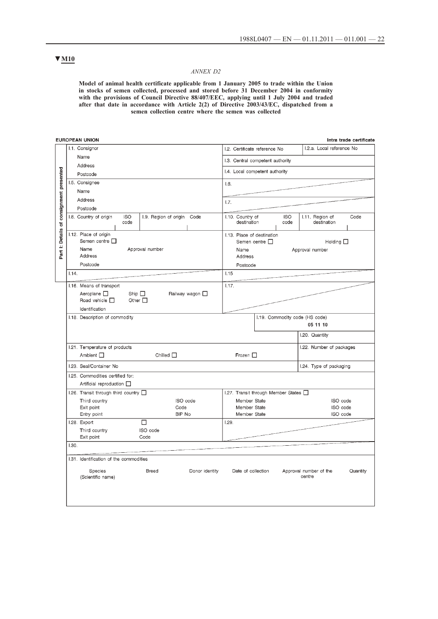### **▼M10**

#### *ANNEX D2*

**Model of animal health certificate applicable from 1 January 2005 to trade within the Union in stocks of semen collected, processed and stored before 31 December 2004 in conformity with the provisions of Council Directive 88/407/EEC, applying until 1 July 2004 and traded after that date in accordance with Article 2(2) of Directive 2003/43/EC, dispatched from a semen collection centre where the semen was collected**

|                          | EUROPEAN UNION                                                             | Intra trade certificate                                                                         |  |  |
|--------------------------|----------------------------------------------------------------------------|-------------------------------------------------------------------------------------------------|--|--|
|                          | I.1. Consignor                                                             | I.2.a. Local reference No<br>I.2. Certificate reference No                                      |  |  |
|                          | Name                                                                       | I.3. Central competent authority                                                                |  |  |
|                          | Address                                                                    |                                                                                                 |  |  |
|                          | Postcode                                                                   | I.4. Local competent authority                                                                  |  |  |
|                          | I.5. Consignee                                                             | 1.6.                                                                                            |  |  |
|                          | Name                                                                       |                                                                                                 |  |  |
|                          | Address                                                                    | 1.7.                                                                                            |  |  |
|                          | Postcode                                                                   |                                                                                                 |  |  |
| of consignment presented | I.9. Region of origin Code<br>I.8. Country of origin<br><b>ISO</b><br>code | I.10. Country of<br><b>ISO</b><br>I.11. Region of<br>Code<br>destination<br>code<br>destination |  |  |
|                          | I.12. Place of origin                                                      | I.13. Place of destination                                                                      |  |  |
| Part I: Details          | Semen centre □                                                             | Semen centre $\square$<br>Holding $\square$                                                     |  |  |
|                          | Name<br>Approval number<br>Address                                         | Name<br>Approval number                                                                         |  |  |
|                          |                                                                            | Address                                                                                         |  |  |
|                          | Postcode                                                                   | Postcode                                                                                        |  |  |
|                          | 1.14.                                                                      | 1.15                                                                                            |  |  |
|                          | I.16. Means of transport                                                   | 1.17.                                                                                           |  |  |
|                          | Aeroplane $\square$<br>Ship $\Box$<br>Railway wagon $\square$              |                                                                                                 |  |  |
|                          | Road vehicle $\Box$<br>Other $\Box$                                        |                                                                                                 |  |  |
|                          | Identification                                                             |                                                                                                 |  |  |
|                          | I.18. Description of commodity                                             | 1.19. Commodity code (HS code)<br>05 11 10                                                      |  |  |
|                          |                                                                            |                                                                                                 |  |  |
|                          |                                                                            | I.20. Quantity                                                                                  |  |  |
|                          | 1.21. Temperature of products                                              | I.22. Number of packages                                                                        |  |  |
|                          | Ambient $\Box$<br>Chilled $\Box$                                           | Frozen $\Box$                                                                                   |  |  |
|                          | 1.23. Seal/Container No                                                    | I.24. Type of packaging                                                                         |  |  |
|                          | 1.25. Commodities certified for:                                           |                                                                                                 |  |  |
|                          | Artificial reproduction $\square$                                          |                                                                                                 |  |  |
|                          | 1.26. Transit through third country [                                      | 1.27. Transit through Member States [                                                           |  |  |
|                          | Third country<br>ISO code                                                  | Member State<br>ISO code                                                                        |  |  |
|                          | Exit point<br>Code<br>BIP No<br>Entry point                                | Member State<br>ISO code<br>Member State<br>ISO code                                            |  |  |
|                          | П<br>I.28. Export                                                          | 1.29.                                                                                           |  |  |
|                          | Third country<br>ISO code                                                  |                                                                                                 |  |  |
|                          | Exit point<br>Code                                                         |                                                                                                 |  |  |
|                          | 1.30.                                                                      |                                                                                                 |  |  |
|                          | 1.31. Identification of the commodities                                    |                                                                                                 |  |  |
|                          | Species<br>Donor identity<br>Breed<br>(Scientific name)                    | Quantity<br>Date of collection<br>Approval number of the<br>centre                              |  |  |
|                          |                                                                            |                                                                                                 |  |  |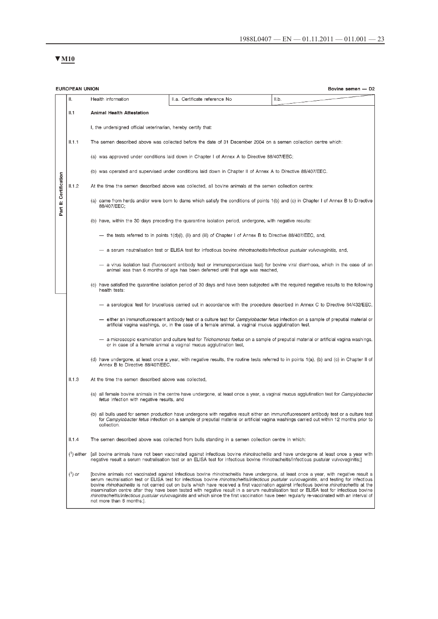# $\Psi$  M<sub>10</sub>

|                                                                                                                                                                                                                                                                                                   | <b>EUROPEAN UNION</b><br>Bovine semen - D2                                                                                                                                                                          |                                                                                                                                                                                                                                                                                                                                                                                                                                                                                                                                                                                                                                                                                                                                                                        |                                                                                                                                                                                                                                                                                      |       |  |  |  |  |  |  |
|---------------------------------------------------------------------------------------------------------------------------------------------------------------------------------------------------------------------------------------------------------------------------------------------------|---------------------------------------------------------------------------------------------------------------------------------------------------------------------------------------------------------------------|------------------------------------------------------------------------------------------------------------------------------------------------------------------------------------------------------------------------------------------------------------------------------------------------------------------------------------------------------------------------------------------------------------------------------------------------------------------------------------------------------------------------------------------------------------------------------------------------------------------------------------------------------------------------------------------------------------------------------------------------------------------------|--------------------------------------------------------------------------------------------------------------------------------------------------------------------------------------------------------------------------------------------------------------------------------------|-------|--|--|--|--|--|--|
|                                                                                                                                                                                                                                                                                                   | Ⅱ.                                                                                                                                                                                                                  | Health information                                                                                                                                                                                                                                                                                                                                                                                                                                                                                                                                                                                                                                                                                                                                                     | II.a. Certificate reference No                                                                                                                                                                                                                                                       | II.b. |  |  |  |  |  |  |
|                                                                                                                                                                                                                                                                                                   | II.1                                                                                                                                                                                                                | <b>Animal Health Attestation</b>                                                                                                                                                                                                                                                                                                                                                                                                                                                                                                                                                                                                                                                                                                                                       |                                                                                                                                                                                                                                                                                      |       |  |  |  |  |  |  |
|                                                                                                                                                                                                                                                                                                   |                                                                                                                                                                                                                     | I, the undersigned official veterinarian, hereby certify that:                                                                                                                                                                                                                                                                                                                                                                                                                                                                                                                                                                                                                                                                                                         |                                                                                                                                                                                                                                                                                      |       |  |  |  |  |  |  |
|                                                                                                                                                                                                                                                                                                   | II.1.1                                                                                                                                                                                                              | The semen described above was collected before the date of 31 December 2004 on a semen collection centre which:<br>(a) was approved under conditions laid down in Chapter I of Annex A to Directive 88/407/EEC;                                                                                                                                                                                                                                                                                                                                                                                                                                                                                                                                                        |                                                                                                                                                                                                                                                                                      |       |  |  |  |  |  |  |
|                                                                                                                                                                                                                                                                                                   |                                                                                                                                                                                                                     |                                                                                                                                                                                                                                                                                                                                                                                                                                                                                                                                                                                                                                                                                                                                                                        |                                                                                                                                                                                                                                                                                      |       |  |  |  |  |  |  |
|                                                                                                                                                                                                                                                                                                   |                                                                                                                                                                                                                     |                                                                                                                                                                                                                                                                                                                                                                                                                                                                                                                                                                                                                                                                                                                                                                        | (b) was operated and supervised under conditions laid down in Chapter II of Annex A to Directive 88/407/EEC.                                                                                                                                                                         |       |  |  |  |  |  |  |
|                                                                                                                                                                                                                                                                                                   | II.1.2                                                                                                                                                                                                              |                                                                                                                                                                                                                                                                                                                                                                                                                                                                                                                                                                                                                                                                                                                                                                        | At the time the semen described above was collected, all bovine animals at the semen collection centre:                                                                                                                                                                              |       |  |  |  |  |  |  |
| Part II: Certification                                                                                                                                                                                                                                                                            |                                                                                                                                                                                                                     | 88/407/EEC;                                                                                                                                                                                                                                                                                                                                                                                                                                                                                                                                                                                                                                                                                                                                                            | (a) came from herds and/or were born to dams which satisfy the conditions of points 1(b) and (c) in Chapter I of Annex B to Directive                                                                                                                                                |       |  |  |  |  |  |  |
|                                                                                                                                                                                                                                                                                                   |                                                                                                                                                                                                                     |                                                                                                                                                                                                                                                                                                                                                                                                                                                                                                                                                                                                                                                                                                                                                                        | (b) have, within the 30 days preceding the quarantine isolation period, undergone, with negative results:                                                                                                                                                                            |       |  |  |  |  |  |  |
|                                                                                                                                                                                                                                                                                                   |                                                                                                                                                                                                                     |                                                                                                                                                                                                                                                                                                                                                                                                                                                                                                                                                                                                                                                                                                                                                                        | — the tests referred to in points $1(d)(i)$ , (ii) and (iii) of Chapter I of Annex B to Directive 88/407/EEC, and,                                                                                                                                                                   |       |  |  |  |  |  |  |
|                                                                                                                                                                                                                                                                                                   |                                                                                                                                                                                                                     |                                                                                                                                                                                                                                                                                                                                                                                                                                                                                                                                                                                                                                                                                                                                                                        | a serum neutralisation test or ELISA test for infectious bovine <i>rhinotracheitis/infectious pustular vulvovaginitis</i> , and,                                                                                                                                                     |       |  |  |  |  |  |  |
|                                                                                                                                                                                                                                                                                                   | - a virus isolation test (fluorescent antibody test or immunoperoxidase test) for bovine viral diarrhoea, which in the case of an<br>animal less than 6 months of age has been deferred until that age was reached, |                                                                                                                                                                                                                                                                                                                                                                                                                                                                                                                                                                                                                                                                                                                                                                        |                                                                                                                                                                                                                                                                                      |       |  |  |  |  |  |  |
|                                                                                                                                                                                                                                                                                                   |                                                                                                                                                                                                                     | (c) have satisfied the quarantine isolation period of 30 days and have been subjected with the required negative results to the following<br>health tests:                                                                                                                                                                                                                                                                                                                                                                                                                                                                                                                                                                                                             |                                                                                                                                                                                                                                                                                      |       |  |  |  |  |  |  |
|                                                                                                                                                                                                                                                                                                   |                                                                                                                                                                                                                     |                                                                                                                                                                                                                                                                                                                                                                                                                                                                                                                                                                                                                                                                                                                                                                        | a serological test for brucellosis carried out in accordance with the procedure described in Annex C to Directive 64/432/EEC,                                                                                                                                                        |       |  |  |  |  |  |  |
|                                                                                                                                                                                                                                                                                                   |                                                                                                                                                                                                                     |                                                                                                                                                                                                                                                                                                                                                                                                                                                                                                                                                                                                                                                                                                                                                                        | either an immunofluorescent antibody test or a culture test for <i>Campylobacter fetus</i> infection on a sample of preputial material or<br>artificial vagina washings, or, in the case of a female animal, a vaginal mucus agglutination test,                                     |       |  |  |  |  |  |  |
|                                                                                                                                                                                                                                                                                                   |                                                                                                                                                                                                                     |                                                                                                                                                                                                                                                                                                                                                                                                                                                                                                                                                                                                                                                                                                                                                                        | - a microscopic examination and culture test for <i>Trichomonas foetus</i> on a sample of preputial material or artificial vagina washings,<br>or in case of a female animal a vaginal mucus agglutination test,                                                                     |       |  |  |  |  |  |  |
|                                                                                                                                                                                                                                                                                                   |                                                                                                                                                                                                                     | Annex B to Directive 88/407/EEC.                                                                                                                                                                                                                                                                                                                                                                                                                                                                                                                                                                                                                                                                                                                                       | (d) have undergone, at least once a year, with negative results, the routine tests referred to in points 1(a), (b) and (c) in Chapter II of                                                                                                                                          |       |  |  |  |  |  |  |
|                                                                                                                                                                                                                                                                                                   | II.1.3                                                                                                                                                                                                              | At the time the semen described above was collected,                                                                                                                                                                                                                                                                                                                                                                                                                                                                                                                                                                                                                                                                                                                   |                                                                                                                                                                                                                                                                                      |       |  |  |  |  |  |  |
|                                                                                                                                                                                                                                                                                                   |                                                                                                                                                                                                                     | fetus infection with negative results, and                                                                                                                                                                                                                                                                                                                                                                                                                                                                                                                                                                                                                                                                                                                             | (a) all female bovine animals in the centre have undergone, at least once a year, a vaginal mucus agglutination test for <i>Campylobacter</i>                                                                                                                                        |       |  |  |  |  |  |  |
| (b) all bulls used for semen production have undergone with negative result either an immunofluorescent antibody test or a culture test<br>for Campylobacter fetus infection on a sample of preputial material or artificial vagina washings carried out within 12 months prior to<br>collection. |                                                                                                                                                                                                                     |                                                                                                                                                                                                                                                                                                                                                                                                                                                                                                                                                                                                                                                                                                                                                                        |                                                                                                                                                                                                                                                                                      |       |  |  |  |  |  |  |
|                                                                                                                                                                                                                                                                                                   | II.1.4                                                                                                                                                                                                              |                                                                                                                                                                                                                                                                                                                                                                                                                                                                                                                                                                                                                                                                                                                                                                        | The semen described above was collected from bulls standing in a semen collection centre in which:                                                                                                                                                                                   |       |  |  |  |  |  |  |
|                                                                                                                                                                                                                                                                                                   | $(1)$ either                                                                                                                                                                                                        |                                                                                                                                                                                                                                                                                                                                                                                                                                                                                                                                                                                                                                                                                                                                                                        | fall bovine animals have not been vaccinated against infectious bovine <i>rhinotracheitis</i> and have undergone at least once a year with<br>negative result a serum neutralisation test or an ELISA test for infectious bovine rhinotracheitis/infectious pustular vulvovaginitis: |       |  |  |  |  |  |  |
|                                                                                                                                                                                                                                                                                                   | $(^1)$ or                                                                                                                                                                                                           | (bovine animals not vaccinated against infectious bovine rhinotracheitis have undergone, at least once a year, with negative result a<br>serum neutralisation test or ELISA test for infectious bovine <i>rhinotracheitis/infectious pustular vulvovaginitis</i> , and testing for infectious<br>bovine rhinotracheitis is not carried out on bulls which have received a first vaccination against infectious bovine rhinotracheitis at the<br>insemination centre after they have been tested with negative result in a serum neutralisation test or ELISA test for infectious bovine<br>rhinotracheitis/infectious pustular vulvovaginitis and which since the first vaccination have been regularly re-vaccinated with an interval of<br>not more than 6 months;]. |                                                                                                                                                                                                                                                                                      |       |  |  |  |  |  |  |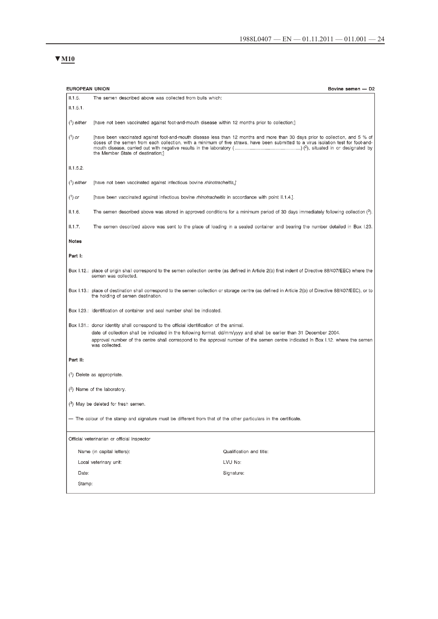# $\Psi$  M<sub>10</sub>

| <b>EUROPEAN UNION</b>                                                                                            |                                                                                                                                                                                                                                     | Bovine semen - D2                                                                                                                                                                                                                                                     |  |  |  |  |
|------------------------------------------------------------------------------------------------------------------|-------------------------------------------------------------------------------------------------------------------------------------------------------------------------------------------------------------------------------------|-----------------------------------------------------------------------------------------------------------------------------------------------------------------------------------------------------------------------------------------------------------------------|--|--|--|--|
| II.1.5.                                                                                                          | The semen described above was collected from bulls which:                                                                                                                                                                           |                                                                                                                                                                                                                                                                       |  |  |  |  |
| II.1.5.1.                                                                                                        |                                                                                                                                                                                                                                     |                                                                                                                                                                                                                                                                       |  |  |  |  |
| $(^1)$ either                                                                                                    | [have not been vaccinated against foot-and-mouth disease within 12 months prior to collection;]                                                                                                                                     |                                                                                                                                                                                                                                                                       |  |  |  |  |
| $(^1)$ or                                                                                                        | the Member State of destination;]                                                                                                                                                                                                   | [have been vaccinated against foot-and-mouth disease less than 12 months and more than 30 days prior to collection, and 5 % of<br>doses of the semen from each collection, with a minimum of five straws, have been submitted to a virus isolation test for foot-and- |  |  |  |  |
| II.1.5.2.                                                                                                        |                                                                                                                                                                                                                                     |                                                                                                                                                                                                                                                                       |  |  |  |  |
| $($ <sup>1</sup> ) either                                                                                        | [have not been vaccinated against infectious bovine rhinotracheitis,]                                                                                                                                                               |                                                                                                                                                                                                                                                                       |  |  |  |  |
| $(^1)$ or                                                                                                        | [have been vaccinated against infectious bovine <i>rhinotracheitis</i> in accordance with point II.1.4.].                                                                                                                           |                                                                                                                                                                                                                                                                       |  |  |  |  |
| II.1.6.                                                                                                          |                                                                                                                                                                                                                                     | The semen described above was stored in approved conditions for a minimum period of 30 days immediately following collection $(3)$ .                                                                                                                                  |  |  |  |  |
| II.1.7.                                                                                                          |                                                                                                                                                                                                                                     | The semen described above was sent to the place of loading in a sealed container and bearing the number detailed in Box 1.23.                                                                                                                                         |  |  |  |  |
| <b>Notes</b>                                                                                                     |                                                                                                                                                                                                                                     |                                                                                                                                                                                                                                                                       |  |  |  |  |
| Part I:                                                                                                          |                                                                                                                                                                                                                                     |                                                                                                                                                                                                                                                                       |  |  |  |  |
|                                                                                                                  | semen was collected.                                                                                                                                                                                                                | Box I.12.: place of origin shall correspond to the semen collection centre (as defined in Article 2(b) first indent of Directive 88/407/EEC) where the                                                                                                                |  |  |  |  |
|                                                                                                                  | the holding of semen destination.                                                                                                                                                                                                   | Box 1.13.: place of destination shall correspond to the semen collection or storage centre (as defined in Article 2(b) of Directive 88/407/EEC), or to                                                                                                                |  |  |  |  |
|                                                                                                                  | Box 1.23.: identification of container and seal number shall be indicated.                                                                                                                                                          |                                                                                                                                                                                                                                                                       |  |  |  |  |
|                                                                                                                  | Box 1.31.: donor identity shall correspond to the official identification of the animal.<br>date of collection shall be indicated in the following format: dd/mm/yyyy and shall be earlier than 31 December 2004.<br>was collected. | approval number of the centre shall correspond to the approval number of the semen centre indicated in Box 1.12. where the semen                                                                                                                                      |  |  |  |  |
| Part II:                                                                                                         |                                                                                                                                                                                                                                     |                                                                                                                                                                                                                                                                       |  |  |  |  |
|                                                                                                                  | (1) Delete as appropriate.                                                                                                                                                                                                          |                                                                                                                                                                                                                                                                       |  |  |  |  |
|                                                                                                                  | $(2)$ Name of the laboratory.                                                                                                                                                                                                       |                                                                                                                                                                                                                                                                       |  |  |  |  |
|                                                                                                                  | (3) May be deleted for fresh semen.                                                                                                                                                                                                 |                                                                                                                                                                                                                                                                       |  |  |  |  |
| - The colour of the stamp and signature must be different from that of the other particulars in the certificate. |                                                                                                                                                                                                                                     |                                                                                                                                                                                                                                                                       |  |  |  |  |
|                                                                                                                  | Official veterinarian or official inspector                                                                                                                                                                                         |                                                                                                                                                                                                                                                                       |  |  |  |  |
|                                                                                                                  | Name (in capital letters):                                                                                                                                                                                                          | Qualification and title:                                                                                                                                                                                                                                              |  |  |  |  |
|                                                                                                                  | Local veterinary unit:                                                                                                                                                                                                              | LVU No:                                                                                                                                                                                                                                                               |  |  |  |  |
| Date:                                                                                                            |                                                                                                                                                                                                                                     | Signature:                                                                                                                                                                                                                                                            |  |  |  |  |
|                                                                                                                  | Stamp:                                                                                                                                                                                                                              |                                                                                                                                                                                                                                                                       |  |  |  |  |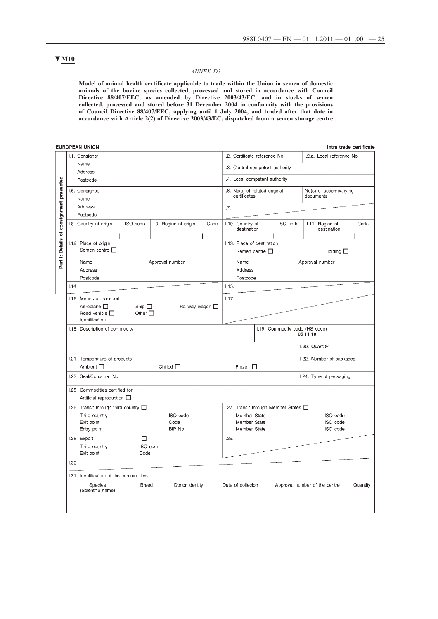## **▼M10**

#### *ANNEX D3*

**Model of animal health certificate applicable to trade within the Union in semen of domestic animals of the bovine species collected, processed and stored in accordance with Council Directive 88/407/EEC, as amended by Directive 2003/43/EC, and in stocks of semen collected, processed and stored before 31 December 2004 in conformity with the provisions of Council Directive 88/407/EEC, applying until 1 July 2004, and traded after that date in accordance with Article 2(2) of Directive 2003/43/EC, dispatched from a semen storage centre**

|                   | <b>EUROPEAN UNION</b>                                         |                                |      |                                                |                                       | Intra trade certificate            |          |
|-------------------|---------------------------------------------------------------|--------------------------------|------|------------------------------------------------|---------------------------------------|------------------------------------|----------|
|                   | I.1. Consignor                                                | I.2. Certificate reference No  |      | I.2.a. Local reference No                      |                                       |                                    |          |
|                   | Name                                                          |                                |      | I.3. Central competent authority               |                                       |                                    |          |
|                   | Address<br>Postcode                                           |                                |      |                                                | I.4. Local competent authority        |                                    |          |
|                   |                                                               |                                |      |                                                |                                       |                                    |          |
| presented         | I.5. Consignee<br>Name                                        |                                |      | I.6. No(s) of related original<br>certificates |                                       | No(s) of accompanying<br>documents |          |
|                   | Address                                                       |                                |      | 1.7.                                           |                                       |                                    |          |
|                   | Postcode                                                      |                                |      |                                                |                                       |                                    |          |
| consignment<br>đ  | ISO code<br>1.8. Country of origin                            | I.9. Region of origin          | Code | I.10. Country of<br>destination                | ISO code                              | I.11. Region of<br>destination     | Code     |
|                   | I.12. Place of origin                                         |                                |      | I.13. Place of destination                     |                                       |                                    |          |
| <b>I:</b> Details | Semen centre $\square$                                        |                                |      | Semen centre $\square$                         |                                       | Holding $\square$                  |          |
| Part              | Approval number<br>Name<br>Address                            |                                |      | Name                                           |                                       | Approval number                    |          |
|                   |                                                               |                                |      | Address                                        |                                       |                                    |          |
|                   | Postcode                                                      |                                |      | Postcode                                       |                                       |                                    |          |
|                   | 1.14.                                                         |                                |      | 1.15.                                          |                                       |                                    |          |
|                   | I.16. Means of transport                                      |                                |      | 1.17.                                          |                                       |                                    |          |
|                   | Aeroplane $\Box$<br>Ship $\square$<br>Railway wagon $\square$ |                                |      |                                                |                                       |                                    |          |
|                   | Road vehicle $\square$<br>Other $\Box$<br>Identification      |                                |      |                                                |                                       |                                    |          |
|                   | I.18. Description of commodity                                |                                |      | 1.19. Commodity code (HS code)                 |                                       |                                    |          |
|                   |                                                               |                                |      |                                                |                                       | 05 11 10                           |          |
|                   |                                                               |                                |      |                                                |                                       | I.20. Quantity                     |          |
|                   | I.21. Temperature of products                                 |                                |      |                                                |                                       | I.22. Number of packages           |          |
|                   | Ambient □                                                     | Chilled $\Box$                 |      | Frozen $\Pi$                                   |                                       |                                    |          |
|                   | I.23. Seal/Container No                                       |                                |      |                                                |                                       | I.24. Type of packaging            |          |
|                   | I.25. Commodities certified for:                              |                                |      |                                                |                                       |                                    |          |
|                   | Artificial reproduction <b>D</b>                              |                                |      |                                                |                                       |                                    |          |
|                   | 1.26. Transit through third country $\Box$                    |                                |      |                                                | 1.27. Transit through Member States [ |                                    |          |
|                   | Third country<br>Exit point                                   | ISO code<br>Code               |      | Member State<br>Member State                   |                                       | ISO code<br>ISO code               |          |
|                   | Entry point                                                   | BIP No                         |      | Member State                                   |                                       | ISO code                           |          |
|                   | I.28. Export                                                  | □                              |      | 1.29.                                          |                                       |                                    |          |
|                   | Third country                                                 | ISO code                       |      |                                                |                                       |                                    |          |
|                   | Exit point                                                    | Code                           |      |                                                |                                       |                                    |          |
|                   | 1.30.                                                         |                                |      |                                                |                                       |                                    |          |
|                   | 1.31. Identification of the commodities                       |                                |      |                                                |                                       |                                    |          |
|                   | Species<br>(Scientific name)                                  | Donor identity<br><b>Breed</b> |      | Date of collecion                              |                                       | Approval number of the centre      | Quantity |
|                   |                                                               |                                |      |                                                |                                       |                                    |          |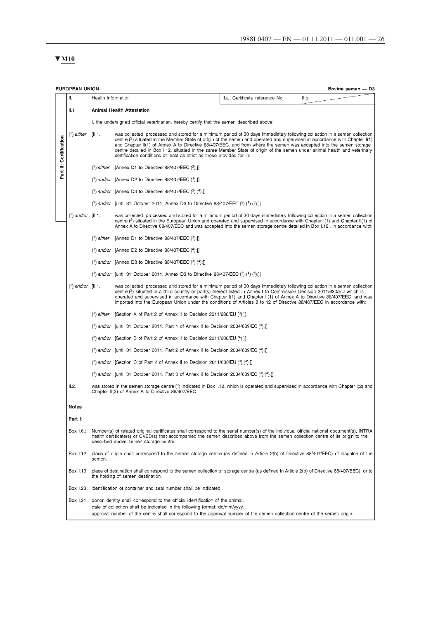# $\Psi$  M<sub>10</sub>

|                                                          | <b>EUROPEAN UNION</b><br>Bovine semen - D3                                                                                                                                                                                                                                                          |                                                                                                                                                                                                                                                                                                                          |                                                                                                                                                                                                                                                                                                                                                                                                                                                                                                                                                                                                  |                                |       |  |  |  |
|----------------------------------------------------------|-----------------------------------------------------------------------------------------------------------------------------------------------------------------------------------------------------------------------------------------------------------------------------------------------------|--------------------------------------------------------------------------------------------------------------------------------------------------------------------------------------------------------------------------------------------------------------------------------------------------------------------------|--------------------------------------------------------------------------------------------------------------------------------------------------------------------------------------------------------------------------------------------------------------------------------------------------------------------------------------------------------------------------------------------------------------------------------------------------------------------------------------------------------------------------------------------------------------------------------------------------|--------------------------------|-------|--|--|--|
|                                                          | Ш.                                                                                                                                                                                                                                                                                                  | Health information                                                                                                                                                                                                                                                                                                       |                                                                                                                                                                                                                                                                                                                                                                                                                                                                                                                                                                                                  | II.a. Certificate reference No | II.b. |  |  |  |
|                                                          | II.1                                                                                                                                                                                                                                                                                                |                                                                                                                                                                                                                                                                                                                          | <b>Animal Health Attestation</b>                                                                                                                                                                                                                                                                                                                                                                                                                                                                                                                                                                 |                                |       |  |  |  |
|                                                          |                                                                                                                                                                                                                                                                                                     |                                                                                                                                                                                                                                                                                                                          | I, the undersigned official veterinarian, hereby certify that the semen described above:                                                                                                                                                                                                                                                                                                                                                                                                                                                                                                         |                                |       |  |  |  |
| Part II: Certification                                   | $(1)$ either                                                                                                                                                                                                                                                                                        | [II.1]                                                                                                                                                                                                                                                                                                                   | was collected, processed and stored for a minimum period of 30 days immediately following collection in a semen collection<br>centre ( <sup>2</sup> ) situated in the Member State of origin of the semen and operated and supervised in accordance with Chapter I(1)<br>and Chapter II(1) of Annex A to Directive 88/407/EEC, and from where the semen was accepted into the semen storage<br>centre detailed in Box I.12. situated in the same Member State of origin of the semen under animal health and veterinary<br>certification conditions at least as strict as those provided for in: |                                |       |  |  |  |
|                                                          |                                                                                                                                                                                                                                                                                                     |                                                                                                                                                                                                                                                                                                                          | $(1)$ either [Annex D1 to Directive 88/407/EEC $(3)$ ]]                                                                                                                                                                                                                                                                                                                                                                                                                                                                                                                                          |                                |       |  |  |  |
|                                                          |                                                                                                                                                                                                                                                                                                     |                                                                                                                                                                                                                                                                                                                          | $(1)$ and/or [Annex D2 to Directive 88/407/EEC $(4)$ ;]]                                                                                                                                                                                                                                                                                                                                                                                                                                                                                                                                         |                                |       |  |  |  |
|                                                          |                                                                                                                                                                                                                                                                                                     |                                                                                                                                                                                                                                                                                                                          | $(1)$ and/or [Annex D3 to Directive 88/407/EEC $(3)$ $(4)$ ;]]                                                                                                                                                                                                                                                                                                                                                                                                                                                                                                                                   |                                |       |  |  |  |
|                                                          |                                                                                                                                                                                                                                                                                                     |                                                                                                                                                                                                                                                                                                                          | (1) and/or [until 31 October 2011, Annex D3 to Directive 88/407/EEC (3) (4) (6);]]                                                                                                                                                                                                                                                                                                                                                                                                                                                                                                               |                                |       |  |  |  |
|                                                          | $(1)$ and/or [II.1.                                                                                                                                                                                                                                                                                 |                                                                                                                                                                                                                                                                                                                          | was collected, processed and stored for a minimum period of 30 days immediately following collection in a semen collection<br>centre ( <sup>2</sup> ) situated in the European Union and operated and supervised in accordance with Chapter (1) and Chapter (1(1) of<br>Annex A to Directive 88/407/EEC and was accepted into the semen storage centre detailed in Box I.12., in accordance with:                                                                                                                                                                                                |                                |       |  |  |  |
| $(1)$ either [Annex D1 to Directive 88/407/EEC $(3)$ ;]] |                                                                                                                                                                                                                                                                                                     |                                                                                                                                                                                                                                                                                                                          |                                                                                                                                                                                                                                                                                                                                                                                                                                                                                                                                                                                                  |                                |       |  |  |  |
|                                                          |                                                                                                                                                                                                                                                                                                     |                                                                                                                                                                                                                                                                                                                          | $(1)$ and/or [Annex D2 to Directive 88/407/EEC $(4)$ ;]]                                                                                                                                                                                                                                                                                                                                                                                                                                                                                                                                         |                                |       |  |  |  |
|                                                          |                                                                                                                                                                                                                                                                                                     |                                                                                                                                                                                                                                                                                                                          | (1) and/or [Annex D3 to Directive 88/407/EEC $(3)$ (4);]]                                                                                                                                                                                                                                                                                                                                                                                                                                                                                                                                        |                                |       |  |  |  |
|                                                          |                                                                                                                                                                                                                                                                                                     |                                                                                                                                                                                                                                                                                                                          | (1) and/or [until 31 October 2011, Annex D3 to Directive 88/407/EEC (3) (4) (5);]]                                                                                                                                                                                                                                                                                                                                                                                                                                                                                                               |                                |       |  |  |  |
|                                                          | $(1)$ and/or $[11.1]$ .                                                                                                                                                                                                                                                                             |                                                                                                                                                                                                                                                                                                                          | was collected, processed and stored for a minimum period of 30 days immediately following collection in a semen collection<br>centre $(2)$ situated in a third country or part(s) thereof listed in Annex I to Commission Decision 2011/630/EU which is<br>operated and supervised in accordance with Chapter I(1) and Chapter II(1) of Annex A to Directive 88/407/EEC, and was<br>imported into the European Union under the conditions of Articles 8 to 12 of Directive 88/407/EEC in accordance with:                                                                                        |                                |       |  |  |  |
|                                                          |                                                                                                                                                                                                                                                                                                     |                                                                                                                                                                                                                                                                                                                          | $(1)$ either [Section A of Part 2 of Annex II to Decision 2011/630/EU $(3)$ ;]]                                                                                                                                                                                                                                                                                                                                                                                                                                                                                                                  |                                |       |  |  |  |
|                                                          |                                                                                                                                                                                                                                                                                                     |                                                                                                                                                                                                                                                                                                                          | $(1)$ and/or [until 31 October 2011, Part 1 of Annex II to Decision 2004/639/EC $(3)$ ;]]                                                                                                                                                                                                                                                                                                                                                                                                                                                                                                        |                                |       |  |  |  |
|                                                          |                                                                                                                                                                                                                                                                                                     |                                                                                                                                                                                                                                                                                                                          | (1) and/or [Section B of Part 2 of Annex II to Decision 2011/630/EU (4);]]                                                                                                                                                                                                                                                                                                                                                                                                                                                                                                                       |                                |       |  |  |  |
|                                                          |                                                                                                                                                                                                                                                                                                     |                                                                                                                                                                                                                                                                                                                          | $(1)$ and/or [until 31 October 2011, Part 2 of Annex II to Decision 2004/639/EC $(4)$ ;]                                                                                                                                                                                                                                                                                                                                                                                                                                                                                                         |                                |       |  |  |  |
|                                                          |                                                                                                                                                                                                                                                                                                     |                                                                                                                                                                                                                                                                                                                          | (1) and/or [Section C of Part 2 of Annex II to Decision 2011/630/EU (3) (4);]]                                                                                                                                                                                                                                                                                                                                                                                                                                                                                                                   |                                |       |  |  |  |
|                                                          |                                                                                                                                                                                                                                                                                                     |                                                                                                                                                                                                                                                                                                                          | (1) and/or [until 31 October 2011, Part 3 of Annex II to Decision 2004/639/EC (3) (4);]]                                                                                                                                                                                                                                                                                                                                                                                                                                                                                                         |                                |       |  |  |  |
|                                                          | II.2.                                                                                                                                                                                                                                                                                               |                                                                                                                                                                                                                                                                                                                          | was stored in the semen storage centre $(2)$ indicated in Box 1.12. which is operated and supervised in accordance with Chapter $(2)$ and<br>Chapter II(2) of Annex A to Directive 88/407/EEC.                                                                                                                                                                                                                                                                                                                                                                                                   |                                |       |  |  |  |
|                                                          | <b>Notes</b>                                                                                                                                                                                                                                                                                        |                                                                                                                                                                                                                                                                                                                          |                                                                                                                                                                                                                                                                                                                                                                                                                                                                                                                                                                                                  |                                |       |  |  |  |
|                                                          | Part I:                                                                                                                                                                                                                                                                                             |                                                                                                                                                                                                                                                                                                                          |                                                                                                                                                                                                                                                                                                                                                                                                                                                                                                                                                                                                  |                                |       |  |  |  |
|                                                          | Box 1.6.:                                                                                                                                                                                                                                                                                           | Number(s) of related original certificates shall correspond to the serial number(s) of the individual official national document(s), INTRA<br>health certificate(s) or CVED(s) that accompanied the semen described above from the semen collection centre of its origin to the<br>described above semen storage centre. |                                                                                                                                                                                                                                                                                                                                                                                                                                                                                                                                                                                                  |                                |       |  |  |  |
|                                                          |                                                                                                                                                                                                                                                                                                     | semen.                                                                                                                                                                                                                                                                                                                   | Box 1.12: place of origin shall correspond to the semen storage centre (as defined in Article 2(b) of Directive 88/407/EEC) of dispatch of the                                                                                                                                                                                                                                                                                                                                                                                                                                                   |                                |       |  |  |  |
|                                                          | Box 1.13: place of destination shall correspond to the semen collection or storage centre (as defined in Article 2(b) of Directive 88/407/EEC), or to<br>the holding of semen destination.                                                                                                          |                                                                                                                                                                                                                                                                                                                          |                                                                                                                                                                                                                                                                                                                                                                                                                                                                                                                                                                                                  |                                |       |  |  |  |
|                                                          |                                                                                                                                                                                                                                                                                                     |                                                                                                                                                                                                                                                                                                                          | Box 1.23.: identification of container and seal number shall be indicated.                                                                                                                                                                                                                                                                                                                                                                                                                                                                                                                       |                                |       |  |  |  |
|                                                          | Box 1.31.: donor identity shall correspond to the official identification of the animal.<br>date of collection shall be indicated in the following format: dd/mm/yyyy.<br>approval number of the centre shall correspond to the approval number of the semen collection centre of the semen origin. |                                                                                                                                                                                                                                                                                                                          |                                                                                                                                                                                                                                                                                                                                                                                                                                                                                                                                                                                                  |                                |       |  |  |  |